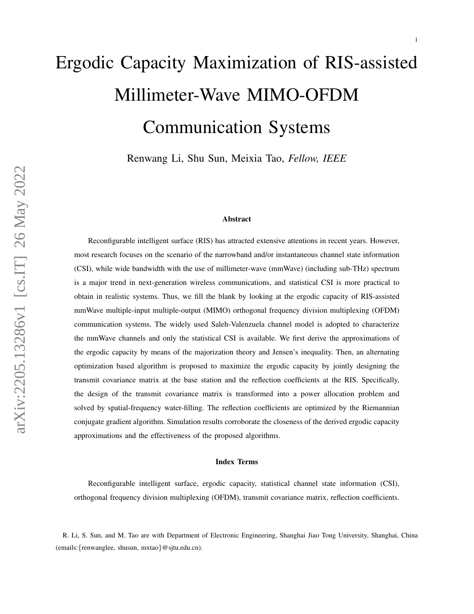# Ergodic Capacity Maximization of RIS-assisted Millimeter-Wave MIMO-OFDM Communication Systems

Renwang Li, Shu Sun, Meixia Tao, *Fellow, IEEE*

#### Abstract

Reconfigurable intelligent surface (RIS) has attracted extensive attentions in recent years. However, most research focuses on the scenario of the narrowband and/or instantaneous channel state information (CSI), while wide bandwidth with the use of millimeter-wave (mmWave) (including sub-THz) spectrum is a major trend in next-generation wireless communications, and statistical CSI is more practical to obtain in realistic systems. Thus, we fill the blank by looking at the ergodic capacity of RIS-assisted mmWave multiple-input multiple-output (MIMO) orthogonal frequency division multiplexing (OFDM) communication systems. The widely used Saleh-Valenzuela channel model is adopted to characterize the mmWave channels and only the statistical CSI is available. We first derive the approximations of the ergodic capacity by means of the majorization theory and Jensen's inequality. Then, an alternating optimization based algorithm is proposed to maximize the ergodic capacity by jointly designing the transmit covariance matrix at the base station and the reflection coefficients at the RIS. Specifically, the design of the transmit covariance matrix is transformed into a power allocation problem and solved by spatial-frequency water-filling. The reflection coefficients are optimized by the Riemannian conjugate gradient algorithm. Simulation results corroborate the closeness of the derived ergodic capacity approximations and the effectiveness of the proposed algorithms.

#### Index Terms

Reconfigurable intelligent surface, ergodic capacity, statistical channel state information (CSI), orthogonal frequency division multiplexing (OFDM), transmit covariance matrix, reflection coefficients.

R. Li, S. Sun, and M. Tao are with Department of Electronic Engineering, Shanghai Jiao Tong University, Shanghai, China (emails:{renwanglee, shusun, mxtao}@sjtu.edu.cn).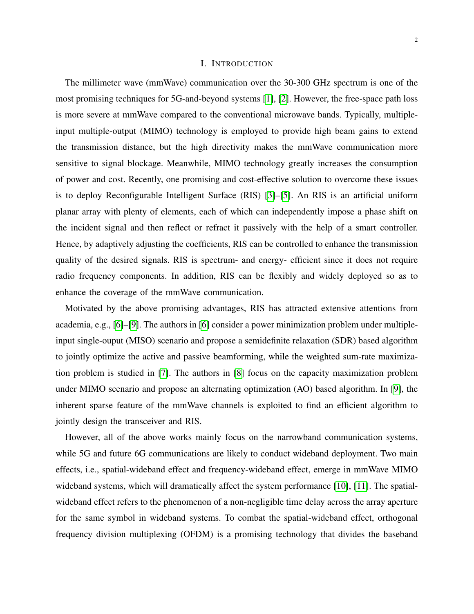#### I. INTRODUCTION

The millimeter wave (mmWave) communication over the 30-300 GHz spectrum is one of the most promising techniques for 5G-and-beyond systems [\[1\]](#page-28-0), [\[2\]](#page-28-1). However, the free-space path loss is more severe at mmWave compared to the conventional microwave bands. Typically, multipleinput multiple-output (MIMO) technology is employed to provide high beam gains to extend the transmission distance, but the high directivity makes the mmWave communication more sensitive to signal blockage. Meanwhile, MIMO technology greatly increases the consumption of power and cost. Recently, one promising and cost-effective solution to overcome these issues is to deploy Reconfigurable Intelligent Surface (RIS) [\[3\]](#page-28-2)–[\[5\]](#page-28-3). An RIS is an artificial uniform planar array with plenty of elements, each of which can independently impose a phase shift on the incident signal and then reflect or refract it passively with the help of a smart controller. Hence, by adaptively adjusting the coefficients, RIS can be controlled to enhance the transmission quality of the desired signals. RIS is spectrum- and energy- efficient since it does not require radio frequency components. In addition, RIS can be flexibly and widely deployed so as to enhance the coverage of the mmWave communication.

Motivated by the above promising advantages, RIS has attracted extensive attentions from academia, e.g., [\[6\]](#page-28-4)–[\[9\]](#page-28-5). The authors in [\[6\]](#page-28-4) consider a power minimization problem under multipleinput single-ouput (MISO) scenario and propose a semidefinite relaxation (SDR) based algorithm to jointly optimize the active and passive beamforming, while the weighted sum-rate maximization problem is studied in [\[7\]](#page-28-6). The authors in [\[8\]](#page-28-7) focus on the capacity maximization problem under MIMO scenario and propose an alternating optimization (AO) based algorithm. In [\[9\]](#page-28-5), the inherent sparse feature of the mmWave channels is exploited to find an efficient algorithm to jointly design the transceiver and RIS.

However, all of the above works mainly focus on the narrowband communication systems, while 5G and future 6G communications are likely to conduct wideband deployment. Two main effects, i.e., spatial-wideband effect and frequency-wideband effect, emerge in mmWave MIMO wideband systems, which will dramatically affect the system performance [\[10\]](#page-28-8), [\[11\]](#page-28-9). The spatialwideband effect refers to the phenomenon of a non-negligible time delay across the array aperture for the same symbol in wideband systems. To combat the spatial-wideband effect, orthogonal frequency division multiplexing (OFDM) is a promising technology that divides the baseband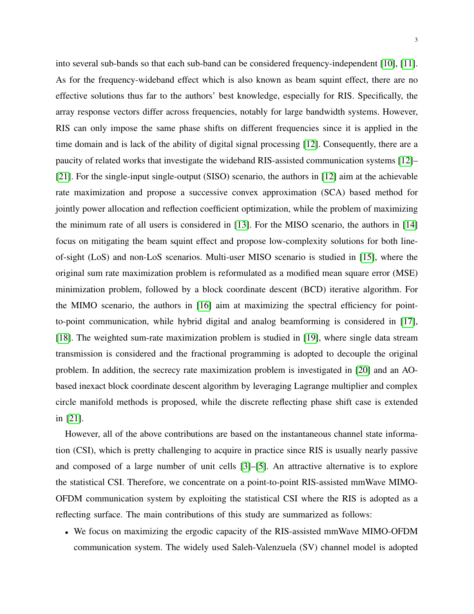into several sub-bands so that each sub-band can be considered frequency-independent [\[10\]](#page-28-8), [\[11\]](#page-28-9). As for the frequency-wideband effect which is also known as beam squint effect, there are no effective solutions thus far to the authors' best knowledge, especially for RIS. Specifically, the array response vectors differ across frequencies, notably for large bandwidth systems. However, RIS can only impose the same phase shifts on different frequencies since it is applied in the time domain and is lack of the ability of digital signal processing [\[12\]](#page-28-10). Consequently, there are a paucity of related works that investigate the wideband RIS-assisted communication systems [\[12\]](#page-28-10)– [\[21\]](#page-29-0). For the single-input single-output (SISO) scenario, the authors in [\[12\]](#page-28-10) aim at the achievable rate maximization and propose a successive convex approximation (SCA) based method for jointly power allocation and reflection coefficient optimization, while the problem of maximizing the minimum rate of all users is considered in [\[13\]](#page-28-11). For the MISO scenario, the authors in [\[14\]](#page-28-12) focus on mitigating the beam squint effect and propose low-complexity solutions for both lineof-sight (LoS) and non-LoS scenarios. Multi-user MISO scenario is studied in [\[15\]](#page-28-13), where the original sum rate maximization problem is reformulated as a modified mean square error (MSE) minimization problem, followed by a block coordinate descent (BCD) iterative algorithm. For the MIMO scenario, the authors in [\[16\]](#page-28-14) aim at maximizing the spectral efficiency for pointto-point communication, while hybrid digital and analog beamforming is considered in [\[17\]](#page-28-15), [\[18\]](#page-28-16). The weighted sum-rate maximization problem is studied in [\[19\]](#page-29-1), where single data stream transmission is considered and the fractional programming is adopted to decouple the original problem. In addition, the secrecy rate maximization problem is investigated in [\[20\]](#page-29-2) and an AObased inexact block coordinate descent algorithm by leveraging Lagrange multiplier and complex circle manifold methods is proposed, while the discrete reflecting phase shift case is extended in [\[21\]](#page-29-0).

However, all of the above contributions are based on the instantaneous channel state information (CSI), which is pretty challenging to acquire in practice since RIS is usually nearly passive and composed of a large number of unit cells [\[3\]](#page-28-2)–[\[5\]](#page-28-3). An attractive alternative is to explore the statistical CSI. Therefore, we concentrate on a point-to-point RIS-assisted mmWave MIMO-OFDM communication system by exploiting the statistical CSI where the RIS is adopted as a reflecting surface. The main contributions of this study are summarized as follows:

• We focus on maximizing the ergodic capacity of the RIS-assisted mmWave MIMO-OFDM communication system. The widely used Saleh-Valenzuela (SV) channel model is adopted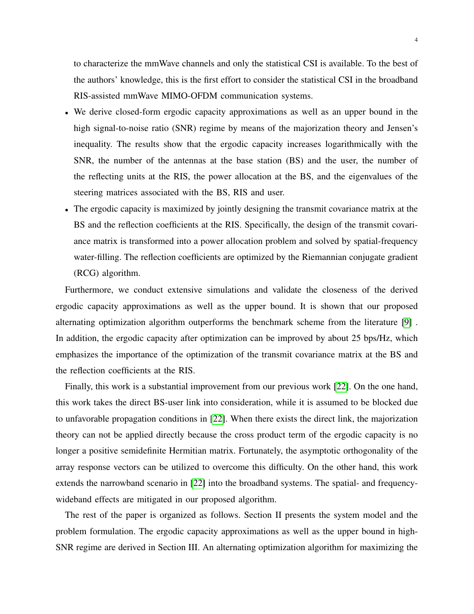to characterize the mmWave channels and only the statistical CSI is available. To the best of the authors' knowledge, this is the first effort to consider the statistical CSI in the broadband RIS-assisted mmWave MIMO-OFDM communication systems.

- We derive closed-form ergodic capacity approximations as well as an upper bound in the high signal-to-noise ratio (SNR) regime by means of the majorization theory and Jensen's inequality. The results show that the ergodic capacity increases logarithmically with the SNR, the number of the antennas at the base station (BS) and the user, the number of the reflecting units at the RIS, the power allocation at the BS, and the eigenvalues of the steering matrices associated with the BS, RIS and user.
- The ergodic capacity is maximized by jointly designing the transmit covariance matrix at the BS and the reflection coefficients at the RIS. Specifically, the design of the transmit covariance matrix is transformed into a power allocation problem and solved by spatial-frequency water-filling. The reflection coefficients are optimized by the Riemannian conjugate gradient (RCG) algorithm.

Furthermore, we conduct extensive simulations and validate the closeness of the derived ergodic capacity approximations as well as the upper bound. It is shown that our proposed alternating optimization algorithm outperforms the benchmark scheme from the literature [\[9\]](#page-28-5) . In addition, the ergodic capacity after optimization can be improved by about 25 bps/Hz, which emphasizes the importance of the optimization of the transmit covariance matrix at the BS and the reflection coefficients at the RIS.

Finally, this work is a substantial improvement from our previous work [\[22\]](#page-29-3). On the one hand, this work takes the direct BS-user link into consideration, while it is assumed to be blocked due to unfavorable propagation conditions in [\[22\]](#page-29-3). When there exists the direct link, the majorization theory can not be applied directly because the cross product term of the ergodic capacity is no longer a positive semidefinite Hermitian matrix. Fortunately, the asymptotic orthogonality of the array response vectors can be utilized to overcome this difficulty. On the other hand, this work extends the narrowband scenario in [\[22\]](#page-29-3) into the broadband systems. The spatial- and frequencywideband effects are mitigated in our proposed algorithm.

The rest of the paper is organized as follows. Section II presents the system model and the problem formulation. The ergodic capacity approximations as well as the upper bound in high-SNR regime are derived in Section III. An alternating optimization algorithm for maximizing the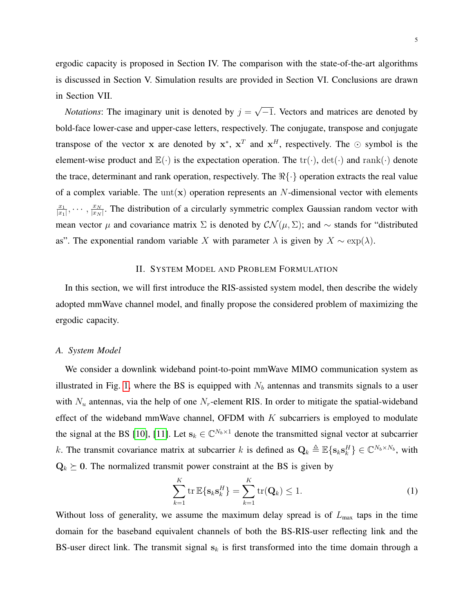ergodic capacity is proposed in Section IV. The comparison with the state-of-the-art algorithms is discussed in Section V. Simulation results are provided in Section VI. Conclusions are drawn in Section VII.

*Notations*: The imaginary unit is denoted by  $j =$ √  $\overline{-1}$ . Vectors and matrices are denoted by bold-face lower-case and upper-case letters, respectively. The conjugate, transpose and conjugate transpose of the vector x are denoted by  $x^*$ ,  $x^T$  and  $x^H$ , respectively. The  $\odot$  symbol is the element-wise product and  $\mathbb{E}(\cdot)$  is the expectation operation. The  $\text{tr}(\cdot)$ ,  $\det(\cdot)$  and  $\text{rank}(\cdot)$  denote the trace, determinant and rank operation, respectively. The  $\Re\{\cdot\}$  operation extracts the real value of a complex variable. The unt(x) operation represents an N-dimensional vector with elements  $\overline{x_1}$  $\frac{x_1}{|x_1|}, \cdots, \frac{x_N}{|x_N|}$  $\frac{x_N}{|x_N|}$ . The distribution of a circularly symmetric complex Gaussian random vector with mean vector  $\mu$  and covariance matrix  $\Sigma$  is denoted by  $\mathcal{CN}(\mu,\Sigma)$ ; and  $\sim$  stands for "distributed" as". The exponential random variable X with parameter  $\lambda$  is given by  $X \sim \exp(\lambda)$ .

# II. SYSTEM MODEL AND PROBLEM FORMULATION

In this section, we will first introduce the RIS-assisted system model, then describe the widely adopted mmWave channel model, and finally propose the considered problem of maximizing the ergodic capacity.

# *A. System Model*

We consider a downlink wideband point-to-point mmWave MIMO communication system as illustrated in Fig. [1,](#page-5-0) where the BS is equipped with  $N_b$  antennas and transmits signals to a user with  $N_u$  antennas, via the help of one  $N_r$ -element RIS. In order to mitigate the spatial-wideband effect of the wideband mmWave channel, OFDM with  $K$  subcarriers is employed to modulate the signal at the BS [\[10\]](#page-28-8), [\[11\]](#page-28-9). Let  $s_k \in \mathbb{C}^{N_b \times 1}$  denote the transmitted signal vector at subcarrier k. The transmit covariance matrix at subcarrier k is defined as  $\mathbf{Q}_k \triangleq \mathbb{E}\{s_k s_k^H\} \in \mathbb{C}^{N_b \times N_b}$ , with  $\mathbf{Q}_k \succeq 0$ . The normalized transmit power constraint at the BS is given by

$$
\sum_{k=1}^{K} \operatorname{tr} \mathbb{E}\{\mathbf{s}_k \mathbf{s}_k^H\} = \sum_{k=1}^{K} \operatorname{tr}(\mathbf{Q}_k) \le 1.
$$
 (1)

Without loss of generality, we assume the maximum delay spread is of  $L_{\text{max}}$  taps in the time domain for the baseband equivalent channels of both the BS-RIS-user reflecting link and the BS-user direct link. The transmit signal  $s_k$  is first transformed into the time domain through a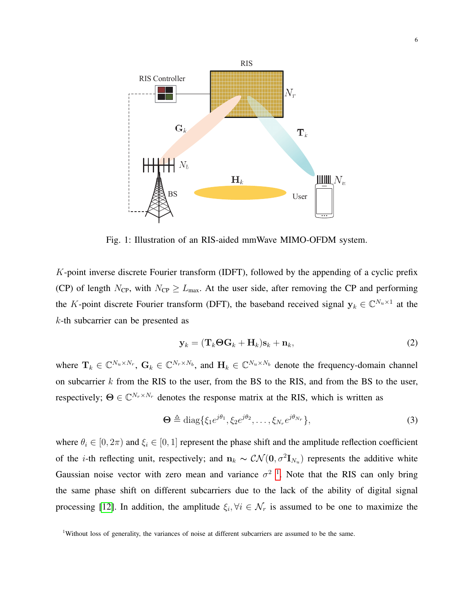<span id="page-5-0"></span>

Fig. 1: Illustration of an RIS-aided mmWave MIMO-OFDM system.

K-point inverse discrete Fourier transform (IDFT), followed by the appending of a cyclic prefix (CP) of length  $N_{\text{CP}}$ , with  $N_{\text{CP}} \geq L_{\text{max}}$ . At the user side, after removing the CP and performing the K-point discrete Fourier transform (DFT), the baseband received signal  $y_k \in \mathbb{C}^{N_u \times 1}$  at the k-th subcarrier can be presented as

$$
\mathbf{y}_k = (\mathbf{T}_k \mathbf{\Theta} \mathbf{G}_k + \mathbf{H}_k) \mathbf{s}_k + \mathbf{n}_k, \tag{2}
$$

where  $\mathbf{T}_k \in \mathbb{C}^{N_u \times N_r}$ ,  $\mathbf{G}_k \in \mathbb{C}^{N_r \times N_b}$ , and  $\mathbf{H}_k \in \mathbb{C}^{N_u \times N_b}$  denote the frequency-domain channel on subcarrier  $k$  from the RIS to the user, from the BS to the RIS, and from the BS to the user, respectively;  $\Theta \in \mathbb{C}^{N_r \times N_r}$  denotes the response matrix at the RIS, which is written as

$$
\mathbf{\Theta} \triangleq \text{diag}\{\xi_1 e^{j\theta_1}, \xi_2 e^{j\theta_2}, \dots, \xi_{N_r} e^{j\theta_{N_r}}\},\tag{3}
$$

where  $\theta_i \in [0, 2\pi)$  and  $\xi_i \in [0, 1]$  represent the phase shift and the amplitude reflection coefficient of the *i*-th reflecting unit, respectively; and  $n_k \sim \mathcal{CN}(0, \sigma^2 \mathbf{I}_{N_u})$  represents the additive white Gaussian noise vector with zero mean and variance  $\sigma^2$ <sup>[1](#page-5-1)</sup>. Note that the RIS can only bring the same phase shift on different subcarriers due to the lack of the ability of digital signal processing [\[12\]](#page-28-10). In addition, the amplitude  $\xi_i, \forall i \in \mathcal{N}_r$  is assumed to be one to maximize the

<span id="page-5-1"></span><sup>&</sup>lt;sup>1</sup>Without loss of generality, the variances of noise at different subcarriers are assumed to be the same.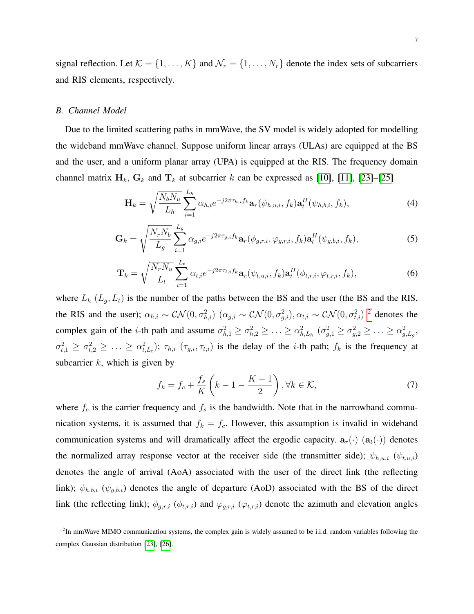signal reflection. Let  $\mathcal{K} = \{1, \ldots, K\}$  and  $\mathcal{N}_r = \{1, \ldots, N_r\}$  denote the index sets of subcarriers and RIS elements, respectively.

#### <span id="page-6-4"></span>*B. Channel Model*

Due to the limited scattering paths in mmWave, the SV model is widely adopted for modelling the wideband mmWave channel. Suppose uniform linear arrays (ULAs) are equipped at the BS and the user, and a uniform planar array (UPA) is equipped at the RIS. The frequency domain channel matrix  $H_k$ ,  $G_k$  and  $T_k$  at subcarrier k can be expressed as [\[10\]](#page-28-8), [\[11\]](#page-28-9), [\[23\]](#page-29-4)–[\[25\]](#page-29-5)

<span id="page-6-1"></span>
$$
\mathbf{H}_{k} = \sqrt{\frac{N_{b}N_{u}}{L_{h}}} \sum_{i=1}^{L_{h}} \alpha_{h,i} e^{-j2\pi\tau_{h,i}f_{k}} \mathbf{a}_{r}(\psi_{h,u,i},f_{k}) \mathbf{a}_{t}^{H}(\psi_{h,b,i},f_{k}),
$$
(4)

<span id="page-6-2"></span>
$$
\mathbf{G}_{k} = \sqrt{\frac{N_{r}N_{b}}{L_{g}}} \sum_{i=1}^{L_{g}} \alpha_{g,i} e^{-j2\pi\tau_{g,i}f_{k}} \mathbf{a}_{r}(\phi_{g,r,i}, \varphi_{g,r,i}, f_{k}) \mathbf{a}_{t}^{H}(\psi_{g,b,i}, f_{k}),
$$
(5)

<span id="page-6-3"></span>
$$
\mathbf{T}_k = \sqrt{\frac{N_r N_u}{L_t}} \sum_{i=1}^{L_t} \alpha_{t,i} e^{-j2\pi\tau_{t,i}f_k} \mathbf{a}_r(\psi_{t,u,i}, f_k) \mathbf{a}_t^H(\phi_{t,r,i}, \varphi_{t,r,i}, f_k), \tag{6}
$$

where  $L_h$   $(L_g, L_t)$  is the number of the paths between the BS and the user (the BS and the RIS, the RIS and the user);  $\alpha_{h,i} \sim \mathcal{CN}(0,\sigma_{h,i}^2)$  $\alpha_{h,i} \sim \mathcal{CN}(0,\sigma_{h,i}^2)$  $\alpha_{h,i} \sim \mathcal{CN}(0,\sigma_{h,i}^2)$   $(\alpha_{g,i} \sim \mathcal{CN}(0,\sigma_{g,i}^2), \alpha_{t,i} \sim \mathcal{CN}(0,\sigma_{t,i}^2)$ <sup>2</sup> denotes the complex gain of the *i*-th path and assume  $\sigma_{h,1}^2 \ge \sigma_{h,2}^2 \ge \ldots \ge \alpha_{h,L_h}^2$  ( $\sigma_{g,1}^2 \ge \sigma_{g,2}^2 \ge \ldots \ge \alpha_{g,L_g}^2$ ,  $\sigma_{t,1}^2 \geq \sigma_{t,2}^2 \geq \ldots \geq \alpha_{t,L_t}^2$ ;  $\tau_{h,i}$  ( $\tau_{g,i}, \tau_{t,i}$ ) is the delay of the *i*-th path;  $f_k$  is the frequency at subcarrier  $k$ , which is given by

$$
f_k = f_c + \frac{f_s}{K} \left( k - 1 - \frac{K - 1}{2} \right), \forall k \in \mathcal{K},
$$
\n<sup>(7)</sup>

where  $f_c$  is the carrier frequency and  $f_s$  is the bandwidth. Note that in the narrowband communication systems, it is assumed that  $f_k = f_c$ . However, this assumption is invalid in wideband communication systems and will dramatically affect the ergodic capacity.  $a_r(\cdot)$   $(a_t(\cdot))$  denotes the normalized array response vector at the receiver side (the transmitter side);  $\psi_{h,u,i}$  ( $\psi_{t,u,i}$ ) denotes the angle of arrival (AoA) associated with the user of the direct link (the reflecting link);  $\psi_{h,b,i}$  ( $\psi_{g,b,i}$ ) denotes the angle of departure (AoD) associated with the BS of the direct link (the reflecting link);  $\phi_{g,r,i}$  ( $\phi_{t,r,i}$ ) and  $\varphi_{g,r,i}$  ( $\varphi_{t,r,i}$ ) denote the azimuth and elevation angles

<span id="page-6-0"></span><sup>&</sup>lt;sup>2</sup>In mmWave MIMO communication systems, the complex gain is widely assumed to be i.i.d. random variables following the complex Gaussian distribution [\[23\]](#page-29-4), [\[26\]](#page-29-6).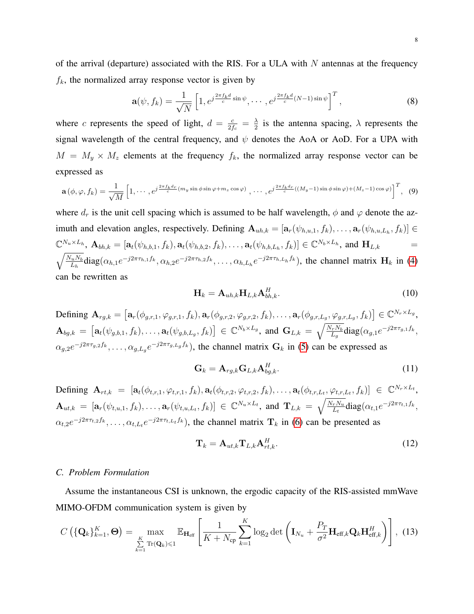of the arrival (departure) associated with the RIS. For a ULA with  $N$  antennas at the frequency  $f_k$ , the normalized array response vector is given by

$$
\mathbf{a}(\psi, f_k) = \frac{1}{\sqrt{N}} \left[ 1, e^{j\frac{2\pi f_k d}{c} \sin \psi}, \cdots, e^{j\frac{2\pi f_k d}{c}(N-1) \sin \psi} \right]^T, \tag{8}
$$

where c represents the speed of light,  $d = \frac{c}{24}$  $\frac{c}{2f_c} = \frac{\lambda}{2}$  $\frac{\lambda}{2}$  is the antenna spacing,  $\lambda$  represents the signal wavelength of the central frequency, and  $\psi$  denotes the AoA or AoD. For a UPA with  $M = M_y \times M_z$  elements at the frequency  $f_k$ , the normalized array response vector can be expressed as

$$
\mathbf{a}(\phi,\varphi,f_k) = \frac{1}{\sqrt{M}} \left[1,\cdots,e^{j\frac{2\pi f_k d_r}{c}(m_y\sin\phi\sin\varphi + m_z\cos\varphi)},\cdots,e^{j\frac{2\pi f_k d_r}{c}((M_y-1)\sin\phi\sin\varphi)+(M_z-1)\cos\varphi)}\right]^T, (9)
$$

where  $d_r$  is the unit cell spacing which is assumed to be half wavelength,  $\phi$  and  $\varphi$  denote the azimuth and elevation angles, respectively. Defining  $\mathbf{A}_{uh,k} = [\mathbf{a}_r(\psi_{h,u,1}, f_k), \dots, \mathbf{a}_r(\psi_{h,u,L_h}, f_k)] \in$  $\mathbb{C}^{N_u \times L_h}$ ,  $\mathbf{A}_{bh,k} = [\mathbf{a}_t(\psi_{h,b,1}, f_k), \mathbf{a}_t(\psi_{h,b,2}, f_k), \dots, \mathbf{a}_t(\psi_{h,b,L_h}, f_k)] \in \mathbb{C}^{N_b \times L_h}$ , and  $\mathbf{H}_{L,k}$  =  $\sqrt{\frac{N_u N_b}{}}$  $\frac{L_{u}N_{b}}{L_{h}}diag(\alpha_{h,1}e^{-j2\pi\tau_{h,1}f_{k}},\alpha_{h,2}e^{-j2\pi\tau_{h,2}f_{k}},\ldots,\alpha_{h,L_{h}}e^{-j2\pi\tau_{h,L_{h}}f_{k}})$ , the channel matrix  $\mathbf{H}_{k}$  in [\(4\)](#page-6-1) can be rewritten as

<span id="page-7-1"></span>
$$
\mathbf{H}_k = \mathbf{A}_{uh,k} \mathbf{H}_{L,k} \mathbf{A}_{bh,k}^H.
$$
 (10)

Defining  $\mathbf{A}_{rg,k} = \left[ \mathbf{a}_r(\phi_{g,r,1}, \varphi_{g,r,1}, f_k), \mathbf{a}_r(\phi_{g,r,2}, \varphi_{g,r,2}, f_k), \dots, \mathbf{a}_r(\phi_{g,r,L_g}, \varphi_{g,r,L_g}, f_k) \right] \in \mathbb{C}^{N_r \times L_g},$  $\mathbf{A}_{bg,k} = \left[ \mathbf{a}_t(\psi_{g,b,1}, f_k), \ldots, \mathbf{a}_t(\psi_{g,b,L_g}, f_k) \right] \in \mathbb{C}^{N_b \times L_g}$ , and  $\mathbf{G}_{L,k} = \sqrt{\frac{N_r N_b}{L_g}}$  $\frac{L_r N_b}{L_g} \mathrm{diag}(\alpha_{g,1} e^{-j2\pi \tau_{g,1} f_k},$  $\alpha_{g,2}e^{-j2\pi\tau_{g,2}f_k},\ldots,\alpha_{g,L_g}e^{-j2\pi\tau_{g,L_g}f_k}$ , the channel matrix  $\mathbf{G}_k$  in [\(5\)](#page-6-2) can be expressed as

<span id="page-7-2"></span>
$$
\mathbf{G}_k = \mathbf{A}_{rg,k} \mathbf{G}_{L,k} \mathbf{A}_{bg,k}^H.
$$
 (11)

Defining  $\mathbf{A}_{rt,k} = [\mathbf{a}_t(\phi_{t,r,1}, \varphi_{t,r,1}, f_k), \mathbf{a}_t(\phi_{t,r,2}, \varphi_{t,r,2}, f_k), \dots, \mathbf{a}_t(\phi_{t,r,L_t}, \varphi_{t,r,L_t}, f_k)] \in \mathbb{C}^{N_r \times L_t}$  $\mathbf{A}_{ut,k} = [\mathbf{a}_r(\psi_{t,u,1}, f_k), \dots, \mathbf{a}_r(\psi_{t,u,L_t}, f_k)] \in \mathbb{C}^{N_u \times L_t}$ , and  $\mathbf{T}_{L,k} = \sqrt{\frac{N_r N_u}{L_t}}$  $\frac{L_r N_u}{L_t}$ diag $(\alpha_{t,1}e^{-j2\pi\tau_{t,1}f_k},$  $\alpha_{t,2}e^{-j2\pi\tau_{t,2}f_k},\ldots,\alpha_{t,L_t}e^{-j2\pi\tau_{t,L_t}f_k}$ , the channel matrix  $\mathbf{T}_k$  in [\(6\)](#page-6-3) can be presented as

<span id="page-7-3"></span>
$$
\mathbf{T}_k = \mathbf{A}_{ut,k} \mathbf{T}_{L,k} \mathbf{A}_{rt,k}^H.
$$
 (12)

#### *C. Problem Formulation*

Assume the instantaneous CSI is unknown, the ergodic capacity of the RIS-assisted mmWave MIMO-OFDM communication system is given by

<span id="page-7-0"></span>
$$
C\left(\{\mathbf{Q}_k\}_{k=1}^K,\mathbf{\Theta}\right) = \max_{\substack{K \\ \sum_{k=1}^K \text{Tr}(\mathbf{Q}_k) \leqslant 1}} \mathbb{E}_{\mathbf{H}_{\text{eff}}}\left[\frac{1}{K + N_{\text{cp}}}\sum_{k=1}^K \log_2 \det\left(\mathbf{I}_{N_u} + \frac{P_T}{\sigma^2} \mathbf{H}_{\text{eff},k} \mathbf{Q}_k \mathbf{H}_{\text{eff},k}^H\right)\right], (13)
$$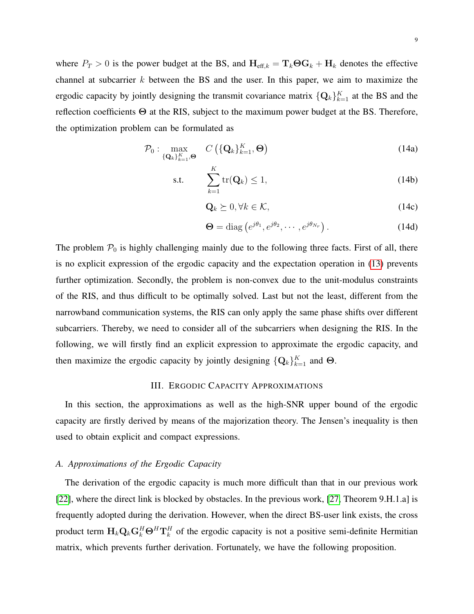where  $P_T > 0$  is the power budget at the BS, and  $H_{\text{eff},k} = T_k \Theta G_k + H_k$  denotes the effective channel at subcarrier  $k$  between the BS and the user. In this paper, we aim to maximize the ergodic capacity by jointly designing the transmit covariance matrix  $\{Q_k\}_{k=1}^K$  at the BS and the reflection coefficients Θ at the RIS, subject to the maximum power budget at the BS. Therefore, the optimization problem can be formulated as

$$
\mathcal{P}_0: \max_{\{\mathbf{Q}_k\}_{k=1}^K,\mathbf{\Theta}} C\left(\{\mathbf{Q}_k\}_{k=1}^K,\mathbf{\Theta}\right) \tag{14a}
$$

$$
\text{s.t.} \qquad \sum_{k=1}^{K} \text{tr}(\mathbf{Q}_k) \le 1,\tag{14b}
$$

$$
\mathbf{Q}_k \succeq 0, \forall k \in \mathcal{K},\tag{14c}
$$

$$
\mathbf{\Theta} = \text{diag}\left(e^{j\theta_1}, e^{j\theta_2}, \cdots, e^{j\theta_{N_r}}\right). \tag{14d}
$$

The problem  $P_0$  is highly challenging mainly due to the following three facts. First of all, there is no explicit expression of the ergodic capacity and the expectation operation in [\(13\)](#page-7-0) prevents further optimization. Secondly, the problem is non-convex due to the unit-modulus constraints of the RIS, and thus difficult to be optimally solved. Last but not the least, different from the narrowband communication systems, the RIS can only apply the same phase shifts over different subcarriers. Thereby, we need to consider all of the subcarriers when designing the RIS. In the following, we will firstly find an explicit expression to approximate the ergodic capacity, and then maximize the ergodic capacity by jointly designing  $\{Q_k\}_{k=1}^K$  and  $\Theta$ .

## <span id="page-8-0"></span>III. ERGODIC CAPACITY APPROXIMATIONS

In this section, the approximations as well as the high-SNR upper bound of the ergodic capacity are firstly derived by means of the majorization theory. The Jensen's inequality is then used to obtain explicit and compact expressions.

# *A. Approximations of the Ergodic Capacity*

The derivation of the ergodic capacity is much more difficult than that in our previous work [\[22\]](#page-29-3), where the direct link is blocked by obstacles. In the previous work, [\[27,](#page-29-7) Theorem 9.H.1.a] is frequently adopted during the derivation. However, when the direct BS-user link exists, the cross product term  $H_k \mathbf{Q}_k \mathbf{G}_k^H \Theta^H \mathbf{T}_k^H$  of the ergodic capacity is not a positive semi-definite Hermitian matrix, which prevents further derivation. Fortunately, we have the following proposition.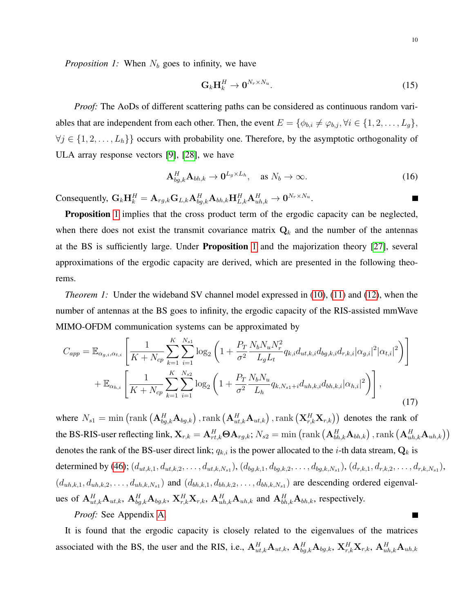*Proposition 1:* When  $N_b$  goes to infinity, we have

$$
\mathbf{G}_k \mathbf{H}_k^H \to \mathbf{0}^{N_r \times N_u}.\tag{15}
$$

*Proof:* The AoDs of different scattering paths can be considered as continuous random variables that are independent from each other. Then, the event  $E = \{\phi_{b,i} \neq \varphi_{b,j}, \forall i \in \{1, 2, \ldots, L_g\},\}$  $\forall j \in \{1, 2, \ldots, L_h\}$  occurs with probability one. Therefore, by the asymptotic orthogonality of ULA array response vectors [\[9\]](#page-28-5), [\[28\]](#page-29-8), we have

$$
\mathbf{A}_{bg,k}^H \mathbf{A}_{bh,k} \to \mathbf{0}^{L_g \times L_h}, \quad \text{as } N_b \to \infty.
$$
 (16)

Consequently,  $\mathbf{G}_k \mathbf{H}_k^H = \mathbf{A}_{rg,k} \mathbf{G}_{L,k} \mathbf{A}_{bg,k}^H \mathbf{A}_{bh,k} \mathbf{H}_{L,k}^H \mathbf{A}_{uh,k}^H \rightarrow \mathbf{0}^{N_r \times N_u}.$ 

Proposition [1](#page-8-0) implies that the cross product term of the ergodic capacity can be neglected, when there does not exist the transmit covariance matrix  $Q_k$  and the number of the antennas at the BS is sufficiently large. Under Proposition [1](#page-8-0) and the majorization theory [\[27\]](#page-29-7), several approximations of the ergodic capacity are derived, which are presented in the following theorems.

<span id="page-9-0"></span>*Theorem 1:* Under the wideband SV channel model expressed in [\(10\)](#page-7-1), [\(11\)](#page-7-2) and [\(12\)](#page-7-3), when the number of antennas at the BS goes to infinity, the ergodic capacity of the RIS-assisted mmWave MIMO-OFDM communication systems can be approximated by

<span id="page-9-1"></span>
$$
C_{app} = \mathbb{E}_{\alpha_{g,i},\alpha_{t,i}} \left[ \frac{1}{K + N_{cp}} \sum_{k=1}^{K} \sum_{i=1}^{N_{s1}} \log_2 \left( 1 + \frac{P_T}{\sigma^2} \frac{N_b N_u N_r^2}{L_g L_t} q_{k,i} d_{ut,k,i} d_{bg,k,i} d_{r,k,i} |\alpha_{g,i}|^2 |\alpha_{t,i}|^2 \right) \right] + \mathbb{E}_{\alpha_{h,i}} \left[ \frac{1}{K + N_{cp}} \sum_{k=1}^{K} \sum_{i=1}^{N_{s2}} \log_2 \left( 1 + \frac{P_T}{\sigma^2} \frac{N_b N_u}{L_h} q_{k,N_{s1}+i} d_{uh,k,i} d_{bh,k,i} |\alpha_{h,i}|^2 \right) \right],
$$
\n(17)

where  $N_{s1} = \min\left(\text{rank}\left(\mathbf{A}_{bg,k}^H \mathbf{A}_{bg,k}\right),\text{rank}\left(\mathbf{A}_{ut,k}^H \mathbf{A}_{ut,k}\right),\text{rank}\left(\mathbf{X}_{r,k}^H \mathbf{X}_{r,k}\right)\right)$  denotes the rank of the BS-RIS-user reflecting link,  $\mathbf{X}_{r,k} = \mathbf{A}_{rt,k}^H \mathbf{\Theta} \mathbf{A}_{rg,k} ; N_{s2} = \min\left(\mathrm{rank}\left(\mathbf{A}_{bh,k}^H \mathbf{A}_{bh,k}\right), \mathrm{rank}\left(\mathbf{A}_{uh,k}^H \mathbf{A}_{uh,k}\right)\right)$ denotes the rank of the BS-user direct link;  $q_{k,i}$  is the power allocated to the *i*-th data stream,  $\mathbf{Q}_k$  is determined by [\(46\)](#page-26-0);  $(d_{ut,k,1}, d_{ut,k,2}, \ldots, d_{ut,k,N_s1}), (d_{bg,k,1}, d_{bg,k,2}, \ldots, d_{bg,k,N_s1}), (d_{r,k,1}, d_{r,k,2}, \ldots, d_{r,k,N_s1}),$  $(d_{uh,k,1}, d_{uh,k,2}, \ldots, d_{uh,k,N_s1})$  and  $(d_{bh,k,1}, d_{bh,k,2}, \ldots, d_{bh,k,N_s1})$  are descending ordered eigenvalues of  ${\bf A}_{ut,k}^H{\bf A}_{ut,k}$ ,  ${\bf A}_{bg,k}^H{\bf A}_{bg,k}$ ,  ${\bf X}_{r,k}^H{\bf X}_{r,k}$ ,  ${\bf A}_{uh,k}^H{\bf A}_{uh,k}$  and  ${\bf A}_{bh,k}^H{\bf A}_{bh,k}$ , respectively.  $\blacksquare$ 

*Proof:* See Appendix [A.](#page-24-0)

It is found that the ergodic capacity is closely related to the eigenvalues of the matrices associated with the BS, the user and the RIS, i.e.,  $A_{ut,k}^H A_{ut,k}$ ,  $A_{bg,k}^H A_{bg,k}$ ,  $X_{r,k}^H X_{r,k}$ ,  $A_{uh,k}^H A_{uh,k}$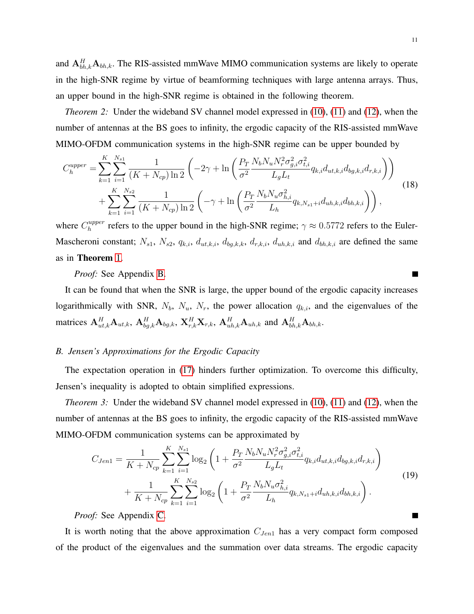and  $A_{bh,k}^H$   $A_{bh,k}$ . The RIS-assisted mmWave MIMO communication systems are likely to operate in the high-SNR regime by virtue of beamforming techniques with large antenna arrays. Thus, an upper bound in the high-SNR regime is obtained in the following theorem.

*Theorem 2:* Under the wideband SV channel model expressed in [\(10\)](#page-7-1), [\(11\)](#page-7-2) and [\(12\)](#page-7-3), when the number of antennas at the BS goes to infinity, the ergodic capacity of the RIS-assisted mmWave MIMO-OFDM communication systems in the high-SNR regime can be upper bounded by

$$
C_{h}^{upper} = \sum_{k=1}^{K} \sum_{i=1}^{N_{s1}} \frac{1}{(K + N_{cp}) \ln 2} \left( -2\gamma + \ln \left( \frac{P_T}{\sigma^2} \frac{N_b N_u N_r^2 \sigma_{g,i}^2 \sigma_{t,i}^2}{L_g L_t} q_{k,i} d_{ut,k,i} d_{bg,k,i} d_{r,k,i} \right) \right) + \sum_{k=1}^{K} \sum_{i=1}^{N_{s2}} \frac{1}{(K + N_{cp}) \ln 2} \left( -\gamma + \ln \left( \frac{P_T}{\sigma^2} \frac{N_b N_u \sigma_{h,i}^2}{L_h} q_{k,N_{s1} + i} d_{uh,k,i} d_{bh,k,i} \right) \right),
$$
\n(18)

where  $C_h^{upper}$  $h_h^{upper}$  refers to the upper bound in the high-SNR regime;  $\gamma \approx 0.5772$  refers to the Euler-Mascheroni constant;  $N_{s1}$ ,  $N_{s2}$ ,  $q_{k,i}$ ,  $d_{ut,k,i}$ ,  $d_{bg,k,k}$ ,  $d_{r,k,i}$ ,  $d_{uh,k,i}$  and  $d_{bh,k,i}$  are defined the same as in Theorem [1.](#page-9-0)

*Proof:* See Appendix [B.](#page-26-1)

It can be found that when the SNR is large, the upper bound of the ergodic capacity increases logarithmically with SNR,  $N_b$ ,  $N_u$ ,  $N_r$ , the power allocation  $q_{k,i}$ , and the eigenvalues of the matrices  $\mathbf{A}_{ut,k}^H \mathbf{A}_{ut,k}$ ,  $\mathbf{A}_{bg,k}^H \mathbf{A}_{bg,k}$ ,  $\mathbf{X}_{r,k}^H \mathbf{X}_{r,k}$ ,  $\mathbf{A}_{uh,k}^H \mathbf{A}_{uh,k}$  and  $\mathbf{A}_{bh,k}^H \mathbf{A}_{bh,k}$ .

# *B. Jensen's Approximations for the Ergodic Capacity*

The expectation operation in [\(17\)](#page-9-1) hinders further optimization. To overcome this difficulty, Jensen's inequality is adopted to obtain simplified expressions.

*Theorem 3:* Under the wideband SV channel model expressed in [\(10\)](#page-7-1), [\(11\)](#page-7-2) and [\(12\)](#page-7-3), when the number of antennas at the BS goes to infinity, the ergodic capacity of the RIS-assisted mmWave MIMO-OFDM communication systems can be approximated by

$$
C_{Jen1} = \frac{1}{K + N_{cp}} \sum_{k=1}^{K} \sum_{i=1}^{N_{s1}} \log_2 \left( 1 + \frac{P_T}{\sigma^2} \frac{N_b N_u N_r^2 \sigma_{g,i}^2 \sigma_{t,i}^2}{L_g L_t} q_{k,i} d_{ut,k,i} d_{bg,k,i} d_{r,k,i} \right) + \frac{1}{K + N_{cp}} \sum_{k=1}^{K} \sum_{i=1}^{N_{s2}} \log_2 \left( 1 + \frac{P_T}{\sigma^2} \frac{N_b N_u \sigma_{h,i}^2}{L_h} q_{k,N_{s1}+i} d_{uh,k,i} d_{bh,k,i} \right).
$$
\n(19)

*Proof:* See Appendix [C.](#page-27-0)

It is worth noting that the above approximation  $C_{Jen1}$  has a very compact form composed of the product of the eigenvalues and the summation over data streams. The ergodic capacity

 $\blacksquare$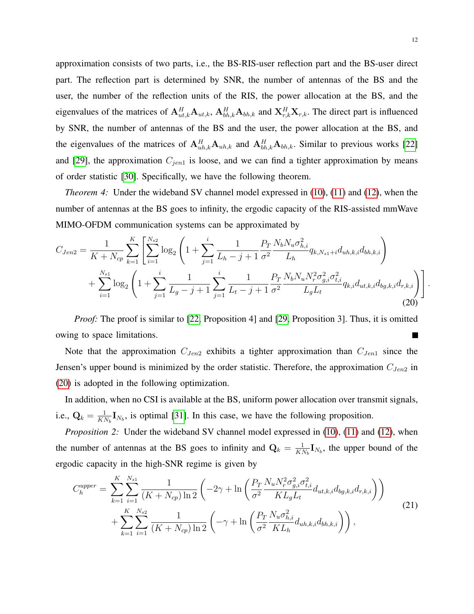approximation consists of two parts, i.e., the BS-RIS-user reflection part and the BS-user direct part. The reflection part is determined by SNR, the number of antennas of the BS and the user, the number of the reflection units of the RIS, the power allocation at the BS, and the eigenvalues of the matrices of  $A_{ut,k}^H A_{ut,k}$ ,  $A_{bh,k}^H A_{bh,k}$  and  $X_{r,k}^H X_{r,k}$ . The direct part is influenced by SNR, the number of antennas of the BS and the user, the power allocation at the BS, and the eigenvalues of the matrices of  $A_{uh,k}^H A_{uh,k}$  and  $A_{bh,k}^H A_{bh,k}$ . Similar to previous works [\[22\]](#page-29-3) and [\[29\]](#page-29-9), the approximation  $C_{jen1}$  is loose, and we can find a tighter approximation by means of order statistic [\[30\]](#page-29-10). Specifically, we have the following theorem.

*Theorem 4:* Under the wideband SV channel model expressed in [\(10\)](#page-7-1), [\(11\)](#page-7-2) and [\(12\)](#page-7-3), when the number of antennas at the BS goes to infinity, the ergodic capacity of the RIS-assisted mmWave MIMO-OFDM communication systems can be approximated by

<span id="page-11-0"></span>
$$
C_{Jen2} = \frac{1}{K + N_{cp}} \sum_{k=1}^{K} \left[ \sum_{i=1}^{N_{s2}} \log_2 \left( 1 + \sum_{j=1}^i \frac{1}{L_h - j + 1} \frac{P_T}{\sigma^2} \frac{N_b N_u \sigma_{h,i}^2}{L_h} q_{k, N_{s1} + i} d_{uh,k,i} d_{bh,k,i} \right) + \sum_{i=1}^{N_{s1}} \log_2 \left( 1 + \sum_{j=1}^i \frac{1}{L_g - j + 1} \sum_{j=1}^i \frac{1}{L_t - j + 1} \frac{P_T}{\sigma^2} \frac{N_b N_u N_r^2 \sigma_{g,i}^2 \sigma_{t,i}^2}{L_g L_t} q_{k,i} d_{ut,k,i} d_{bg,k,i} d_{r,k,i} \right) \right].
$$
\n(20)

*Proof:* The proof is similar to [\[22,](#page-29-3) Proposition 4] and [\[29,](#page-29-9) Proposition 3]. Thus, it is omitted owing to space limitations. ×

Note that the approximation  $C_{Jen2}$  exhibits a tighter approximation than  $C_{Jen1}$  since the Jensen's upper bound is minimized by the order statistic. Therefore, the approximation  $C_{Jen2}$  in [\(20\)](#page-11-0) is adopted in the following optimization.

In addition, when no CSI is available at the BS, uniform power allocation over transmit signals, i.e.,  $\mathbf{Q}_k = \frac{1}{Kl}$  $\frac{1}{KN_b}I_{N_b}$ , is optimal [\[31\]](#page-29-11). In this case, we have the following proposition.

*Proposition 2:* Under the wideband SV channel model expressed in [\(10\)](#page-7-1), [\(11\)](#page-7-2) and [\(12\)](#page-7-3), when the number of antennas at the BS goes to infinity and  $Q_k = \frac{1}{K}$  $\frac{1}{KN_b}I_{N_b}$ , the upper bound of the ergodic capacity in the high-SNR regime is given by

$$
C_{h}^{upper} = \sum_{k=1}^{K} \sum_{i=1}^{N_{s1}} \frac{1}{(K + N_{cp}) \ln 2} \left( -2\gamma + \ln \left( \frac{P_T}{\sigma^2} \frac{N_u N_r^2 \sigma_{g,i}^2 \sigma_{t,i}^2}{KL_g L_t} d_{ut,k,i} d_{bg,k,i} d_{r,k,i} \right) \right) + \sum_{k=1}^{K} \sum_{i=1}^{N_{s2}} \frac{1}{(K + N_{cp}) \ln 2} \left( -\gamma + \ln \left( \frac{P_T}{\sigma^2} \frac{N_u \sigma_{h,i}^2}{KL_h} d_{uh,k,i} d_{bh,k,i} \right) \right),
$$
\n(21)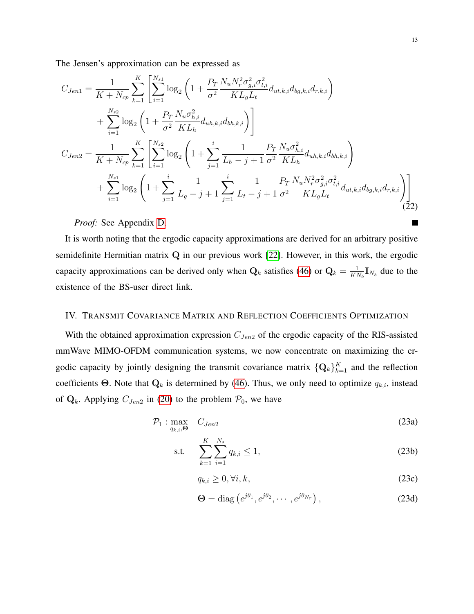The Jensen's approximation can be expressed as

<span id="page-12-0"></span>
$$
C_{Jen1} = \frac{1}{K + N_{cp}} \sum_{k=1}^{K} \left[ \sum_{i=1}^{N_{s1}} \log_2 \left( 1 + \frac{P_T}{\sigma^2} \frac{N_u N_r^2 \sigma_{g,i}^2 \sigma_{t,i}^2}{KL_g L_t} d_{ut,k,i} d_{bg,k,i} d_{r,k,i} \right) \right] + \sum_{i=1}^{N_{s2}} \log_2 \left( 1 + \frac{P_T}{\sigma^2} \frac{N_u \sigma_{h,i}^2}{KL_h} d_{uh,k,i} d_{bh,k,i} \right) \right] C_{Jen2} = \frac{1}{K + N_{cp}} \sum_{k=1}^{K} \left[ \sum_{i=1}^{N_{s2}} \log_2 \left( 1 + \sum_{j=1}^{i} \frac{1}{L_h - j + 1} \frac{P_T}{\sigma^2} \frac{N_u \sigma_{h,i}^2}{KL_h} d_{uh,k,i} d_{bh,k,i} \right) \right] + \sum_{i=1}^{N_{s1}} \log_2 \left( 1 + \sum_{j=1}^{i} \frac{1}{L_g - j + 1} \sum_{j=1}^{i} \frac{1}{L_t - j + 1} \frac{P_T}{\sigma^2} \frac{N_u N_r^2 \sigma_{g,i}^2 \sigma_{t,i}^2}{KL_g L_t} d_{ut,k,i} d_{bg,k,i} d_{r,k,i} \right) \right]
$$
(22)

*Proof:* See Appendix [D.](#page-27-1)

It is worth noting that the ergodic capacity approximations are derived for an arbitrary positive semidefinite Hermitian matrix Q in our previous work [\[22\]](#page-29-3). However, in this work, the ergodic capacity approximations can be derived only when  $Q_k$  satisfies [\(46\)](#page-26-0) or  $Q_k = \frac{1}{K}$  $\frac{1}{KN_b}\mathbf{I}_{N_b}$  due to the existence of the BS-user direct link.

# IV. TRANSMIT COVARIANCE MATRIX AND REFLECTION COEFFICIENTS OPTIMIZATION

With the obtained approximation expression  $C_{Jen2}$  of the ergodic capacity of the RIS-assisted mmWave MIMO-OFDM communication systems, we now concentrate on maximizing the ergodic capacity by jointly designing the transmit covariance matrix  $\{Q_k\}_{k=1}^K$  and the reflection coefficients Θ. Note that  $Q_k$  is determined by [\(46\)](#page-26-0). Thus, we only need to optimize  $q_{k,i}$ , instead of  $Q_k$ . Applying  $C_{Jen2}$  in [\(20\)](#page-11-0) to the problem  $P_0$ , we have

$$
\mathcal{P}_1: \max_{q_{k,i}, \Theta} \quad C_{Jen2} \tag{23a}
$$

s.t. 
$$
\sum_{k=1}^{K} \sum_{i=1}^{N_s} q_{k,i} \le 1,
$$
 (23b)

$$
q_{k,i} \ge 0, \forall i, k,\tag{23c}
$$

$$
\Theta = \text{diag}\left(e^{j\theta_1}, e^{j\theta_2}, \cdots, e^{j\theta_{Nr}}\right),\tag{23d}
$$

г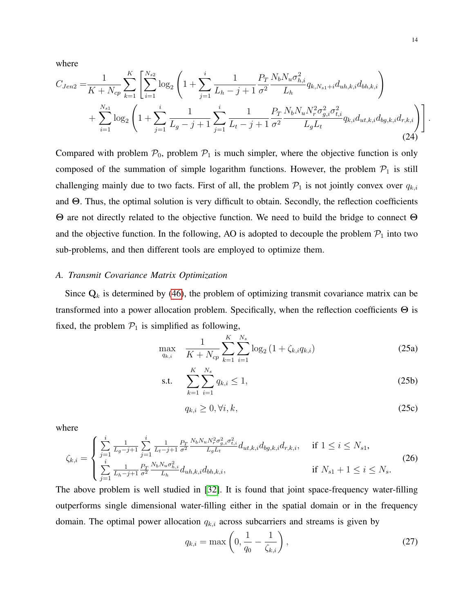where

$$
C_{Jen2} = \frac{1}{K + N_{cp}} \sum_{k=1}^{K} \left[ \sum_{i=1}^{N_{s2}} \log_2 \left( 1 + \sum_{j=1}^i \frac{1}{L_h - j + 1} \frac{P_T}{\sigma^2} \frac{N_b N_u \sigma_{h,i}^2}{L_h} q_{k, N_{s1} + i} d_{uh,k,i} d_{bh,k,i} \right) + \sum_{i=1}^{N_{s1}} \log_2 \left( 1 + \sum_{j=1}^i \frac{1}{L_g - j + 1} \sum_{j=1}^i \frac{1}{L_t - j + 1} \frac{P_T}{\sigma^2} \frac{N_b N_u N_r^2 \sigma_{g,i}^2 \sigma_{t,i}^2}{L_g L_t} q_{k,i} d_{ut,k,i} d_{bg,k,i} d_{r,k,i} \right) \right].
$$
\n(24)

Compared with problem  $P_0$ , problem  $P_1$  is much simpler, where the objective function is only composed of the summation of simple logarithm functions. However, the problem  $P_1$  is still challenging mainly due to two facts. First of all, the problem  $P_1$  is not jointly convex over  $q_{k,i}$ and Θ. Thus, the optimal solution is very difficult to obtain. Secondly, the reflection coefficients Θ are not directly related to the objective function. We need to build the bridge to connect Θ and the objective function. In the following, AO is adopted to decouple the problem  $\mathcal{P}_1$  into two sub-problems, and then different tools are employed to optimize them.

### *A. Transmit Covariance Matrix Optimization*

Since  $Q_k$  is determined by [\(46\)](#page-26-0), the problem of optimizing transmit covariance matrix can be transformed into a power allocation problem. Specifically, when the reflection coefficients Θ is fixed, the problem  $P_1$  is simplified as following,

$$
\max_{q_{k,i}} \quad \frac{1}{K + N_{cp}} \sum_{k=1}^{K} \sum_{i=1}^{N_s} \log_2 \left( 1 + \zeta_{k,i} q_{k,i} \right) \tag{25a}
$$

s.t. 
$$
\sum_{k=1}^{K} \sum_{i=1}^{N_s} q_{k,i} \le 1,
$$
 (25b)

$$
q_{k,i} \geq 0, \forall i, k,\tag{25c}
$$

where

$$
\zeta_{k,i} = \begin{cases}\n\sum_{j=1}^{i} \frac{1}{L_g - j + 1} \sum_{j=1}^{i} \frac{1}{L_t - j + 1} \frac{P_T}{\sigma^2} \frac{N_b N_u N_r^2 \sigma_{g,i}^2 \sigma_{t,i}^2}{L_g L_t} d_{ut,k,i} d_{bg,k,i} d_{r,k,i}, & \text{if } 1 \le i \le N_{s1}, \\
\sum_{j=1}^{i} \frac{1}{L_h - j + 1} \frac{P_T}{\sigma^2} \frac{N_b N_u \sigma_{h,i}^2}{L_h} d_{uh,k,i} d_{bh,k,i}, & \text{if } N_{s1} + 1 \le i \le N_s.\n\end{cases} \tag{26}
$$

The above problem is well studied in [\[32\]](#page-29-12). It is found that joint space-frequency water-filling outperforms single dimensional water-filling either in the spatial domain or in the frequency domain. The optimal power allocation  $q_{k,i}$  across subcarriers and streams is given by

<span id="page-13-0"></span>
$$
q_{k,i} = \max\left(0, \frac{1}{q_0} - \frac{1}{\zeta_{k,i}}\right),
$$
\n(27)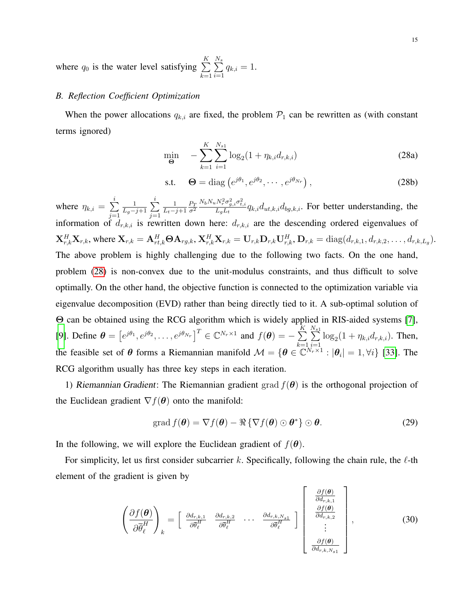where  $q_0$  is the water level satisfying  $\sum K$  $k=1$  $\sum_{ }^{N_s}$  $i=1$  $q_{k,i} = 1.$ 

# *B. Reflection Coefficient Optimization*

When the power allocations  $q_{k,i}$  are fixed, the problem  $\mathcal{P}_1$  can be rewritten as (with constant terms ignored)

<span id="page-14-0"></span>
$$
\min_{\Theta} \quad -\sum_{k=1}^{K} \sum_{i=1}^{N_{s1}} \log_2(1 + \eta_{k,i} d_{r,k,i}) \tag{28a}
$$

$$
\text{s.t.} \quad \Theta = \text{diag}\left(e^{j\theta_1}, e^{j\theta_2}, \cdots, e^{j\theta_{N_r}}\right),\tag{28b}
$$

where  $\eta_{k,i} = \sum_{i=1}^{i}$  $j=1$ 1  $\frac{1}{L_g-j+1}\sum_{i=1}^i$  $j=1$ 1  $L_t-j+1$  $P_T$  $\overline{\sigma^2}$  $\frac{N_b N_u N_r^2 \sigma_{g,i}^2 \sigma_{t,i}^2}{L_g L_t} q_{k,i} d_{ut,k,i} d_{bg,k,i}$ . For better understanding, the information of  $d_{r,k,i}$  is rewritten down here:  $d_{r,k,i}$  are the descending ordered eigenvalues of  $\mathbf{X}_{r,k}^H \mathbf{X}_{r,k}$ , where  $\mathbf{X}_{r,k} = \mathbf{A}_{rt,k}^H \mathbf{\Theta} \mathbf{A}_{rg,k}, \mathbf{X}_{r,k}^H \mathbf{X}_{r,k} = \mathbf{U}_{r,k} \mathbf{D}_{r,k} \mathbf{U}_{r,k}^H, \mathbf{D}_{r,k} = \text{diag}(d_{r,k,1}, d_{r,k,2}, \dots, d_{r,k,L_g}).$ The above problem is highly challenging due to the following two facts. On the one hand, problem [\(28\)](#page-14-0) is non-convex due to the unit-modulus constraints, and thus difficult to solve optimally. On the other hand, the objective function is connected to the optimization variable via eigenvalue decomposition (EVD) rather than being directly tied to it. A sub-optimal solution of Θ can be obtained using the RCG algorithm which is widely applied in RIS-aided systems [\[7\]](#page-28-6), [\[9\]](#page-28-5). Define  $\boldsymbol{\theta} = \left[e^{j\theta_1}, e^{j\theta_2}, \dots, e^{j\theta_{Nr}}\right]^T \in \mathbb{C}^{N_r \times 1}$  and  $f(\boldsymbol{\theta}) = -\sum_{r=1}^K \left[e^{j\theta_1} - e^{j\theta_2}\right]^T$  $k=1$  $\sum_{ }^{N_{s1}}$  $\sum_{i=1} \log_2(1 + \eta_{k,i} d_{r,k,i})$ . Then, the feasible set of  $\theta$  forms a Riemannian manifold  $\mathcal{M} = \{ \theta \in \mathbb{C}^{N_r \times 1} : |\theta_i| = 1, \forall i \}$  [\[33\]](#page-29-13). The RCG algorithm usually has three key steps in each iteration.

1) Riemannian Gradient: The Riemannian gradient grad  $f(\theta)$  is the orthogonal projection of the Euclidean gradient  $\nabla f(\boldsymbol{\theta})$  onto the manifold:

<span id="page-14-1"></span>
$$
\operatorname{grad} f(\boldsymbol{\theta}) = \nabla f(\boldsymbol{\theta}) - \Re \left\{ \nabla f(\boldsymbol{\theta}) \odot \boldsymbol{\theta}^* \right\} \odot \boldsymbol{\theta}.
$$
 (29)

In the following, we will explore the Euclidean gradient of  $f(\theta)$ .

For simplicity, let us first consider subcarrier k. Specifically, following the chain rule, the  $\ell$ -th element of the gradient is given by

<span id="page-14-2"></span>
$$
\left(\frac{\partial f(\boldsymbol{\theta})}{\partial \overline{\theta}_{\ell}^{H}}\right)_{k} = \begin{bmatrix} \frac{\partial d_{r,k,1}}{\partial \overline{\theta}_{\ell}^{H}} & \frac{\partial d_{r,k,2}}{\partial \overline{\theta}_{\ell}^{H}} & \cdots & \frac{\partial d_{r,k,N_{s,1}}}{\partial \overline{\theta}_{\ell}^{H}} \end{bmatrix} \begin{bmatrix} \frac{\partial f(\boldsymbol{\theta})}{\partial d_{r,k,1}} \\ \frac{\partial f(\boldsymbol{\theta})}{\partial d_{r,k,2}} \\ \vdots \\ \frac{\partial f(\boldsymbol{\theta})}{\partial d_{r,k,N_{s,1}}} \end{bmatrix},
$$
(30)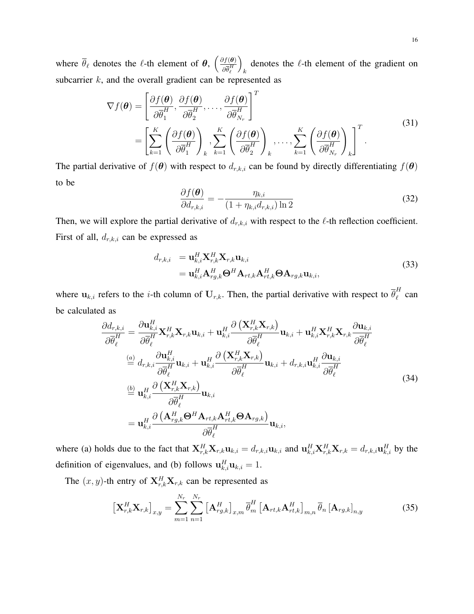where  $\bar{\theta}_{\ell}$  denotes the  $\ell$ -th element of  $\theta$ ,  $\left(\frac{\partial f(\theta)}{\partial \bar{\theta}H}\right)$  $\partial \overline{\theta}^{H}_{\ell}$  $\setminus$ k denotes the  $\ell$ -th element of the gradient on subcarrier  $k$ , and the overall gradient can be represented as

<span id="page-15-2"></span>
$$
\nabla f(\boldsymbol{\theta}) = \left[ \frac{\partial f(\boldsymbol{\theta})}{\partial \overline{\theta}_1^H}, \frac{\partial f(\boldsymbol{\theta})}{\partial \overline{\theta}_2^H}, \dots, \frac{\partial f(\boldsymbol{\theta})}{\partial \overline{\theta}_{N_r}^H} \right]^T
$$
  
= 
$$
\left[ \sum_{k=1}^K \left( \frac{\partial f(\boldsymbol{\theta})}{\partial \overline{\theta}_1^H} \right)_k, \sum_{k=1}^K \left( \frac{\partial f(\boldsymbol{\theta})}{\partial \overline{\theta}_2^H} \right)_k, \dots, \sum_{k=1}^K \left( \frac{\partial f(\boldsymbol{\theta})}{\partial \overline{\theta}_{N_r}^H} \right)_k \right]^T.
$$
 (31)

The partial derivative of  $f(\theta)$  with respect to  $d_{r,k,i}$  can be found by directly differentiating  $f(\theta)$ to be

<span id="page-15-0"></span>
$$
\frac{\partial f(\boldsymbol{\theta})}{\partial d_{r,k,i}} = -\frac{\eta_{k,i}}{(1 + \eta_{k,i} d_{r,k,i}) \ln 2}
$$
(32)

Then, we will explore the partial derivative of  $d_{r,k,i}$  with respect to the  $\ell$ -th reflection coefficient. First of all,  $d_{r,k,i}$  can be expressed as

$$
d_{r,k,i} = \mathbf{u}_{k,i}^H \mathbf{X}_{r,k}^H \mathbf{X}_{r,k} \mathbf{u}_{k,i}
$$
  
= 
$$
\mathbf{u}_{k,i}^H \mathbf{A}_{rg,k}^H \mathbf{\Theta}^H \mathbf{A}_{rt,k} \mathbf{A}_{rt,k}^H \mathbf{\Theta} \mathbf{A}_{rg,k} \mathbf{u}_{k,i},
$$
 (33)

where  $\mathbf{u}_{k,i}$  refers to the *i*-th column of  $\mathbf{U}_{r,k}$ . Then, the partial derivative with respect to  $\overline{\theta}_{\ell}^{H}$  $\int_{\ell}^{H}$  can be calculated as

<span id="page-15-1"></span>
$$
\frac{\partial d_{r,k,i}}{\partial \overline{\theta}_{\ell}^{H}} = \frac{\partial \mathbf{u}_{k,i}^{H} \mathbf{X}_{r,k}^{H} \mathbf{X}_{r,k} \mathbf{u}_{k,i} + \mathbf{u}_{k,i}^{H} \frac{\partial (\mathbf{X}_{r,k}^{H} \mathbf{X}_{r,k})}{\partial \overline{\theta}_{\ell}^{H}} \mathbf{u}_{k,i} + \mathbf{u}_{k,i}^{H} \mathbf{X}_{r,k}^{H} \mathbf{X}_{r,k}^{H} \frac{\partial \mathbf{u}_{k,i}}{\partial \overline{\theta}_{\ell}^{H}} \n\stackrel{(a)}{=} d_{r,k,i} \frac{\partial \mathbf{u}_{k,i}^{H}}{\partial \overline{\theta}_{\ell}^{H}} \mathbf{u}_{k,i} + \mathbf{u}_{k,i}^{H} \frac{\partial (\mathbf{X}_{r,k}^{H} \mathbf{X}_{r,k})}{\partial \overline{\theta}_{\ell}^{H}} \mathbf{u}_{k,i} + d_{r,k,i} \mathbf{u}_{k,i}^{H} \frac{\partial \mathbf{u}_{k,i}}{\partial \overline{\theta}_{\ell}^{H}} \n\stackrel{(b)}{=} \mathbf{u}_{k,i}^{H} \frac{\partial (\mathbf{X}_{r,k}^{H} \mathbf{X}_{r,k})}{\partial \overline{\theta}_{\ell}^{H}} \mathbf{u}_{k,i} \n= \mathbf{u}_{k,i}^{H} \frac{\partial (\mathbf{A}_{r,g,k}^{H} \boldsymbol{\Theta}^{H} \mathbf{A}_{rt,k} \mathbf{A}_{rt,k}^{H} \boldsymbol{\Theta} \mathbf{A}_{rg,k})}{\partial \overline{\theta}_{\ell}^{H}} \mathbf{u}_{k,i},
$$
\n(34)

where (a) holds due to the fact that  $X_{r,k}^H \mathbf{X}_{r,k} \mathbf{u}_{k,i} = d_{r,k,i} \mathbf{u}_{k,i}$  and  $\mathbf{u}_{k,i}^H \mathbf{X}_{r,k}^H \mathbf{X}_{r,k} = d_{r,k,i} \mathbf{u}_{k,i}^H$  by the definition of eigenvalues, and (b) follows  $\mathbf{u}_{k,i}^H \mathbf{u}_{k,i} = 1$ .

The  $(x, y)$ -th entry of  $X_{r,k}^H X_{r,k}$  can be represented as

$$
\left[\mathbf{X}_{r,k}^{H}\mathbf{X}_{r,k}\right]_{x,y} = \sum_{m=1}^{N_r} \sum_{n=1}^{N_r} \left[\mathbf{A}_{rg,k}^{H}\right]_{x,m} \overline{\theta}_m^{H} \left[\mathbf{A}_{rt,k}\mathbf{A}_{rt,k}^{H}\right]_{m,n} \overline{\theta}_n \left[\mathbf{A}_{rg,k}\right]_{n,y}
$$
(35)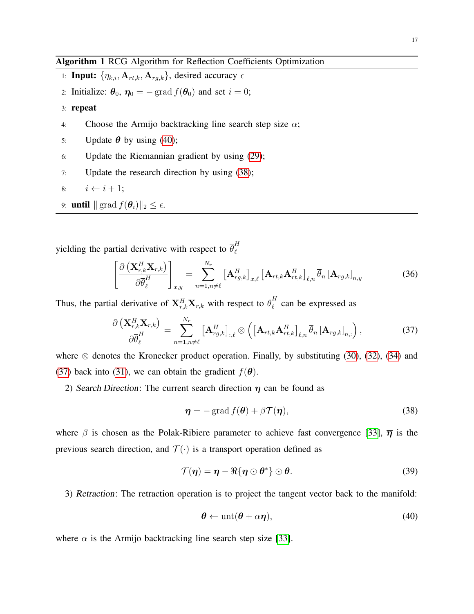<span id="page-16-3"></span>Algorithm 1 RCG Algorithm for Reflection Coefficients Optimization

- 1: **Input:**  $\{\eta_{k,i}, \mathbf{A}_{rt,k}, \mathbf{A}_{rg,k}\}$ , desired accuracy  $\epsilon$
- 2: Initialize:  $\theta_0$ ,  $\eta_0 = -$  grad  $f(\theta_0)$  and set  $i = 0$ ;
- 3: repeat
- 4: Choose the Armijo backtracking line search step size  $\alpha$ ;
- 5: Update  $\theta$  by using [\(40\)](#page-16-0);
- 6: Update the Riemannian gradient by using [\(29\)](#page-14-1);
- 7: Update the research direction by using [\(38\)](#page-16-1);

8: 
$$
i \leftarrow i + 1;
$$

9: **until**  $\|\operatorname{grad} f(\boldsymbol{\theta}_i)\|_2 \leq \epsilon$ .

yielding the partial derivative with respect to  $\overline{\theta}_{\ell}^{H}$  $\ell$ 

$$
\left[\frac{\partial \left(\mathbf{X}_{r,k}^{H} \mathbf{X}_{r,k}\right)}{\partial \overline{\theta}_{\ell}^{H}}\right]_{x,y} = \sum_{n=1, n \neq \ell}^{N_{r}} \left[\mathbf{A}_{rg,k}^{H}\right]_{x,\ell} \left[\mathbf{A}_{rt,k} \mathbf{A}_{rt,k}^{H}\right]_{\ell,n} \overline{\theta}_{n} \left[\mathbf{A}_{rg,k}\right]_{n,y}
$$
(36)

Thus, the partial derivative of  $\mathbf{X}_{r,k}^H \mathbf{X}_{r,k}$  with respect to  $\overline{\theta}_{\ell}^H$  $\int_{\ell}^{R}$  can be expressed as

<span id="page-16-2"></span>
$$
\frac{\partial \left( \mathbf{X}_{r,k}^H \mathbf{X}_{r,k} \right)}{\partial \overline{\theta}_{\ell}^H} = \sum_{n=1, n \neq \ell}^{N_r} \left[ \mathbf{A}_{rg,k}^H \right]_{:, \ell} \otimes \left( \left[ \mathbf{A}_{rt,k} \mathbf{A}_{rt,k}^H \right]_{\ell,n} \overline{\theta}_n \left[ \mathbf{A}_{rg,k} \right]_{n,:} \right), \tag{37}
$$

where  $\otimes$  denotes the Kronecker product operation. Finally, by substituting [\(30\)](#page-14-2), [\(32\)](#page-15-0), [\(34\)](#page-15-1) and [\(37\)](#page-16-2) back into [\(31\)](#page-15-2), we can obtain the gradient  $f(\theta)$ .

2) Search Direction: The current search direction  $\eta$  can be found as

<span id="page-16-1"></span>
$$
\boldsymbol{\eta} = -\operatorname{grad} f(\boldsymbol{\theta}) + \beta \mathcal{T}(\overline{\boldsymbol{\eta}}),\tag{38}
$$

where  $\beta$  is chosen as the Polak-Ribiere parameter to achieve fast convergence [\[33\]](#page-29-13),  $\bar{\eta}$  is the previous search direction, and  $\mathcal{T}(\cdot)$  is a transport operation defined as

$$
\mathcal{T}(\boldsymbol{\eta}) = \boldsymbol{\eta} - \Re{\{\boldsymbol{\eta} \odot \boldsymbol{\theta}^*\}} \odot \boldsymbol{\theta}.
$$
 (39)

3) Retraction: The retraction operation is to project the tangent vector back to the manifold:

<span id="page-16-0"></span>
$$
\boldsymbol{\theta} \leftarrow \text{unt}(\boldsymbol{\theta} + \alpha \boldsymbol{\eta}),\tag{40}
$$

where  $\alpha$  is the Armijo backtracking line search step size [\[33\]](#page-29-13).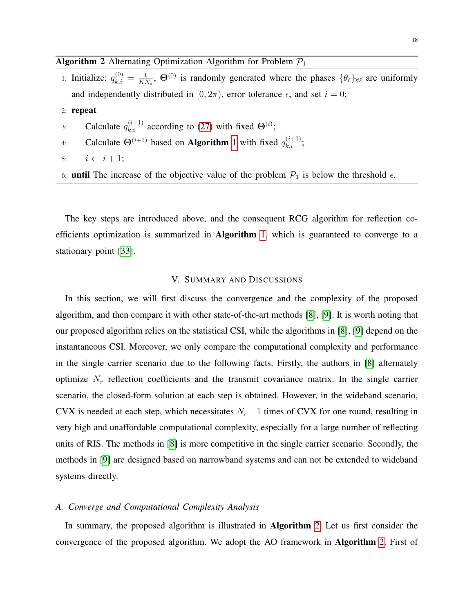# <span id="page-17-0"></span>**Algorithm 2** Alternating Optimization Algorithm for Problem  $P_1$

- 1: Initialize:  $q_{k,i}^{(0)} = \frac{1}{K}$  $\frac{1}{KN_s}$ ,  $\Theta^{(0)}$  is randomly generated where the phases  $\{\theta_\ell\}_{\forall \ell}$  are uniformly and independently distributed in [0,  $2\pi$ ], error tolerance  $\epsilon$ , and set  $i = 0$ ;
- 2: repeat
- 3: Calculate  $q_{k,i}^{(i+1)}$  according to [\(27\)](#page-13-0) with fixed  $\Theta^{(i)}$ ;
- 4: Calculate  $\Theta^{(i+1)}$  $\Theta^{(i+1)}$  $\Theta^{(i+1)}$  based on **Algorithm** 1 with fixed  $q_{k,i}^{(i+1)}$ ;
- 5:  $i \leftarrow i + 1;$
- 6: **until** The increase of the objective value of the problem  $\mathcal{P}_1$  is below the threshold  $\epsilon$ .

The key steps are introduced above, and the consequent RCG algorithm for reflection coefficients optimization is summarized in Algorithm [1,](#page-16-3) which is guaranteed to converge to a stationary point [\[33\]](#page-29-13).

# V. SUMMARY AND DISCUSSIONS

In this section, we will first discuss the convergence and the complexity of the proposed algorithm, and then compare it with other state-of-the-art methods [\[8\]](#page-28-7), [\[9\]](#page-28-5). It is worth noting that our proposed algorithm relies on the statistical CSI, while the algorithms in [\[8\]](#page-28-7), [\[9\]](#page-28-5) depend on the instantaneous CSI. Moreover, we only compare the computational complexity and performance in the single carrier scenario due to the following facts. Firstly, the authors in [\[8\]](#page-28-7) alternately optimize  $N_r$  reflection coefficients and the transmit covariance matrix. In the single carrier scenario, the closed-form solution at each step is obtained. However, in the wideband scenario, CVX is needed at each step, which necessitates  $N_r + 1$  times of CVX for one round, resulting in very high and unaffordable computational complexity, especially for a large number of reflecting units of RIS. The methods in [\[8\]](#page-28-7) is more competitive in the single carrier scenario. Secondly, the methods in [\[9\]](#page-28-5) are designed based on narrowband systems and can not be extended to wideband systems directly.

#### *A. Converge and Computational Complexity Analysis*

In summary, the proposed algorithm is illustrated in **Algorithm** [2.](#page-17-0) Let us first consider the convergence of the proposed algorithm. We adopt the AO framework in Algorithm [2.](#page-17-0) First of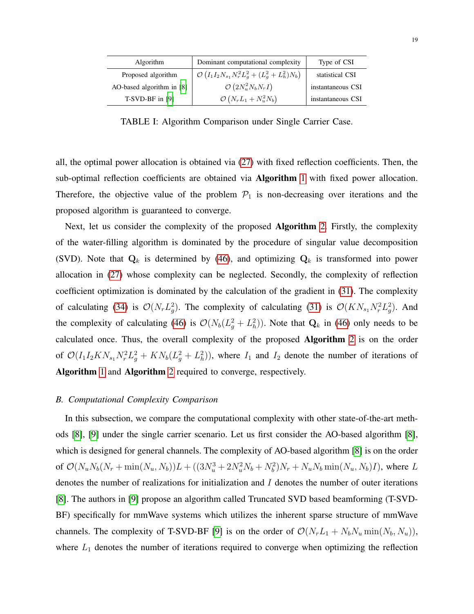<span id="page-18-0"></span>

| Algorithm                 | Dominant computational complexity                                  | Type of CSI       |
|---------------------------|--------------------------------------------------------------------|-------------------|
| Proposed algorithm        | $\mathcal{O}\left(I_1I_2N_{s_1}N_r^2L_g^2+(L_g^2+L_h^2)N_b\right)$ | statistical CSI   |
| AO-based algorithm in [8] | $\mathcal{O}\left(2N_u^2N_bN_rI\right)$                            | instantaneous CSI |
| $T-SVD-BF$ in [9]         | $\mathcal{O}\left(N_rL_1+N_u^2N_b\right)$                          | instantaneous CSI |

TABLE I: Algorithm Comparison under Single Carrier Case.

all, the optimal power allocation is obtained via [\(27\)](#page-13-0) with fixed reflection coefficients. Then, the sub-optimal reflection coefficients are obtained via Algorithm [1](#page-16-3) with fixed power allocation. Therefore, the objective value of the problem  $P_1$  is non-decreasing over iterations and the proposed algorithm is guaranteed to converge.

Next, let us consider the complexity of the proposed Algorithm [2.](#page-17-0) Firstly, the complexity of the water-filling algorithm is dominated by the procedure of singular value decomposition (SVD). Note that  $Q_k$  is determined by [\(46\)](#page-26-0), and optimizing  $Q_k$  is transformed into power allocation in [\(27\)](#page-13-0) whose complexity can be neglected. Secondly, the complexity of reflection coefficient optimization is dominated by the calculation of the gradient in [\(31\)](#page-15-2). The complexity of calculating [\(34\)](#page-15-1) is  $\mathcal{O}(N_r L_g^2)$ . The complexity of calculating [\(31\)](#page-15-2) is  $\mathcal{O}(KN_{s_1}N_r^2 L_g^2)$ . And the complexity of calculating [\(46\)](#page-26-0) is  $\mathcal{O}(N_b(L_g^2 + L_h^2))$ . Note that  $\mathbf{Q}_k$  in (46) only needs to be calculated once. Thus, the overall complexity of the proposed Algorithm [2](#page-17-0) is on the order of  $\mathcal{O}(I_1I_2KN_{s_1}N_r^2L_g^2 + KN_b(L_g^2+L_h^2))$ , where  $I_1$  and  $I_2$  denote the number of iterations of Algorithm [1](#page-16-3) and Algorithm [2](#page-17-0) required to converge, respectively.

# *B. Computational Complexity Comparison*

In this subsection, we compare the computational complexity with other state-of-the-art methods [\[8\]](#page-28-7), [\[9\]](#page-28-5) under the single carrier scenario. Let us first consider the AO-based algorithm [\[8\]](#page-28-7), which is designed for general channels. The complexity of AO-based algorithm [\[8\]](#page-28-7) is on the order of  $\mathcal{O}(N_u N_b (N_r + \min(N_u, N_b))L + ((3N_u^3 + 2N_u^2 N_b + N_b^2)N_r + N_u N_b \min(N_u, N_b)I)$ , where L denotes the number of realizations for initialization and I denotes the number of outer iterations [\[8\]](#page-28-7). The authors in [\[9\]](#page-28-5) propose an algorithm called Truncated SVD based beamforming (T-SVD-BF) specifically for mmWave systems which utilizes the inherent sparse structure of mmWave channels. The complexity of T-SVD-BF [\[9\]](#page-28-5) is on the order of  $\mathcal{O}(N_rL_1 + N_bN_u \min(N_b, N_u))$ , where  $L_1$  denotes the number of iterations required to converge when optimizing the reflection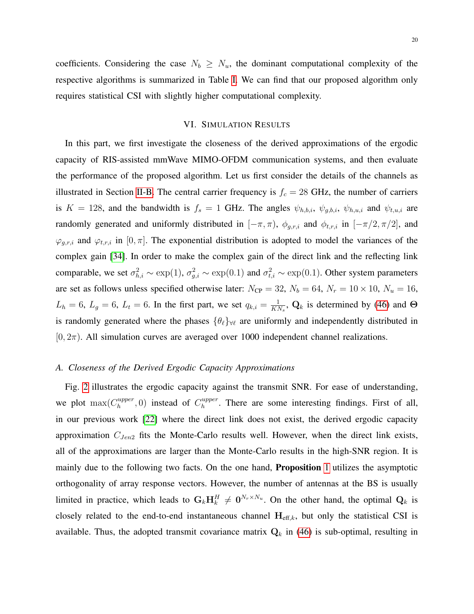# VI. SIMULATION RESULTS

In this part, we first investigate the closeness of the derived approximations of the ergodic capacity of RIS-assisted mmWave MIMO-OFDM communication systems, and then evaluate the performance of the proposed algorithm. Let us first consider the details of the channels as illustrated in Section [II-B.](#page-6-4) The central carrier frequency is  $f_c = 28$  GHz, the number of carriers is  $K = 128$ , and the bandwidth is  $f_s = 1$  GHz. The angles  $\psi_{h,b,i}$ ,  $\psi_{g,b,i}$ ,  $\psi_{h,u,i}$  and  $\psi_{t,u,i}$  are randomly generated and uniformly distributed in  $[-\pi, \pi)$ ,  $\phi_{g,r,i}$  and  $\phi_{t,r,i}$  in  $[-\pi/2, \pi/2]$ , and  $\varphi_{g,r,i}$  and  $\varphi_{t,r,i}$  in [0,  $\pi$ ]. The exponential distribution is adopted to model the variances of the complex gain [\[34\]](#page-29-14). In order to make the complex gain of the direct link and the reflecting link comparable, we set  $\sigma_{h,i}^2 \sim \exp(1)$ ,  $\sigma_{g,i}^2 \sim \exp(0.1)$  and  $\sigma_{t,i}^2 \sim \exp(0.1)$ . Other system parameters are set as follows unless specified otherwise later:  $N_{\text{CP}} = 32$ ,  $N_b = 64$ ,  $N_r = 10 \times 10$ ,  $N_u = 16$ ,  $L_h = 6$ ,  $L_g = 6$ ,  $L_t = 6$ . In the first part, we set  $q_{k,i} = \frac{1}{K}$  $\frac{1}{KN_s}$ , Q<sub>k</sub> is determined by [\(46\)](#page-26-0) and  $\Theta$ is randomly generated where the phases  $\{\theta_\ell\}_{\forall \ell}$  are uniformly and independently distributed in  $[0, 2\pi)$ . All simulation curves are averaged over 1000 independent channel realizations.

# *A. Closeness of the Derived Ergodic Capacity Approximations*

Fig. [2](#page-20-0) illustrates the ergodic capacity against the transmit SNR. For ease of understanding, we plot  $\max(C_h^{upper})$  $h_h^{upper}$ , 0) instead of  $C_h^{upper}$  $h_h^{upper}$ . There are some interesting findings. First of all, in our previous work [\[22\]](#page-29-3) where the direct link does not exist, the derived ergodic capacity approximation  $C_{Jen2}$  fits the Monte-Carlo results well. However, when the direct link exists, all of the approximations are larger than the Monte-Carlo results in the high-SNR region. It is mainly due to the following two facts. On the one hand, Proposition [1](#page-8-0) utilizes the asymptotic orthogonality of array response vectors. However, the number of antennas at the BS is usually limited in practice, which leads to  $G_k \mathbf{H}_k^H \neq \mathbf{0}^{N_r \times N_u}$ . On the other hand, the optimal  $\mathbf{Q}_k$  is closely related to the end-to-end instantaneous channel  $H_{\text{eff},k}$ , but only the statistical CSI is available. Thus, the adopted transmit covariance matrix  $Q_k$  in [\(46\)](#page-26-0) is sub-optimal, resulting in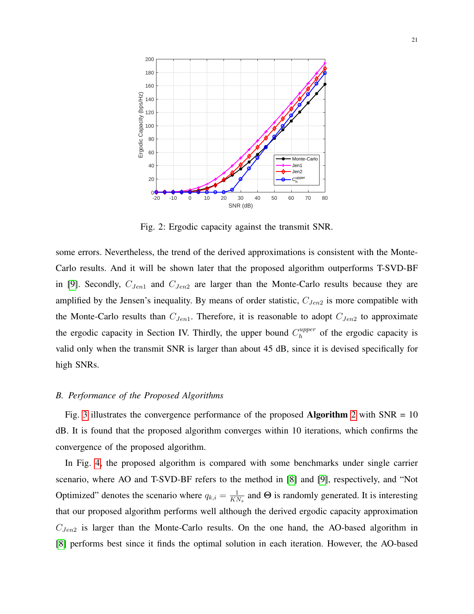<span id="page-20-0"></span>

Fig. 2: Ergodic capacity against the transmit SNR.

some errors. Nevertheless, the trend of the derived approximations is consistent with the Monte-Carlo results. And it will be shown later that the proposed algorithm outperforms T-SVD-BF in [\[9\]](#page-28-5). Secondly,  $C_{Jen1}$  and  $C_{Jen2}$  are larger than the Monte-Carlo results because they are amplified by the Jensen's inequality. By means of order statistic,  $C_{Jen2}$  is more compatible with the Monte-Carlo results than  $C_{Jen1}$ . Therefore, it is reasonable to adopt  $C_{Jen2}$  to approximate the ergodic capacity in Section IV. Thirdly, the upper bound  $C_h^{upper}$  $h_h^{upper}$  of the ergodic capacity is valid only when the transmit SNR is larger than about 45 dB, since it is devised specifically for high SNRs.

# *B. Performance of the Proposed Algorithms*

Fig. [3](#page-21-0) illustrates the convergence performance of the proposed **Algorithm** [2](#page-17-0) with  $SNR = 10$ dB. It is found that the proposed algorithm converges within 10 iterations, which confirms the convergence of the proposed algorithm.

In Fig. [4,](#page-21-1) the proposed algorithm is compared with some benchmarks under single carrier scenario, where AO and T-SVD-BF refers to the method in [\[8\]](#page-28-7) and [\[9\]](#page-28-5), respectively, and "Not Optimized" denotes the scenario where  $q_{k,i} = \frac{1}{K}$  $\frac{1}{KN_s}$  and  $\Theta$  is randomly generated. It is interesting that our proposed algorithm performs well although the derived ergodic capacity approximation  $C_{Jen2}$  is larger than the Monte-Carlo results. On the one hand, the AO-based algorithm in [\[8\]](#page-28-7) performs best since it finds the optimal solution in each iteration. However, the AO-based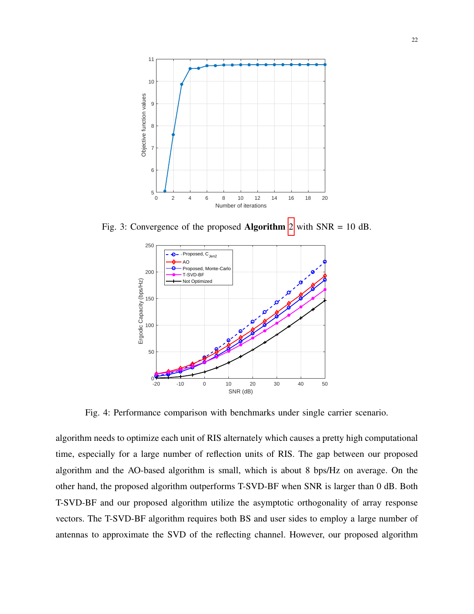<span id="page-21-0"></span>

<span id="page-21-1"></span>Fig. 3: Convergence of the proposed Algorithm [2](#page-17-0) with SNR = 10 dB.



Fig. 4: Performance comparison with benchmarks under single carrier scenario.

algorithm needs to optimize each unit of RIS alternately which causes a pretty high computational time, especially for a large number of reflection units of RIS. The gap between our proposed algorithm and the AO-based algorithm is small, which is about 8 bps/Hz on average. On the other hand, the proposed algorithm outperforms T-SVD-BF when SNR is larger than 0 dB. Both T-SVD-BF and our proposed algorithm utilize the asymptotic orthogonality of array response vectors. The T-SVD-BF algorithm requires both BS and user sides to employ a large number of antennas to approximate the SVD of the reflecting channel. However, our proposed algorithm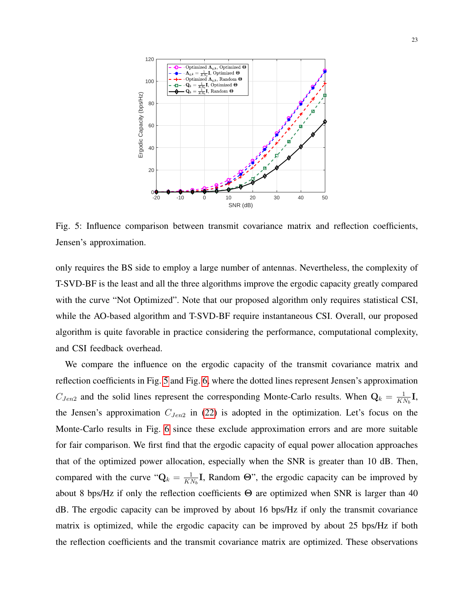<span id="page-22-0"></span>

Fig. 5: Influence comparison between transmit covariance matrix and reflection coefficients, Jensen's approximation.

only requires the BS side to employ a large number of antennas. Nevertheless, the complexity of T-SVD-BF is the least and all the three algorithms improve the ergodic capacity greatly compared with the curve "Not Optimized". Note that our proposed algorithm only requires statistical CSI, while the AO-based algorithm and T-SVD-BF require instantaneous CSI. Overall, our proposed algorithm is quite favorable in practice considering the performance, computational complexity, and CSI feedback overhead.

We compare the influence on the ergodic capacity of the transmit covariance matrix and reflection coefficients in Fig. [5](#page-22-0) and Fig. [6,](#page-23-0) where the dotted lines represent Jensen's approximation  $C_{Jen2}$  and the solid lines represent the corresponding Monte-Carlo results. When  $\mathbf{Q}_k = \frac{1}{K}$  $\frac{1}{KN_b}\mathbf{I},$ the Jensen's approximation  $C_{Jen2}$  in [\(22\)](#page-12-0) is adopted in the optimization. Let's focus on the Monte-Carlo results in Fig. [6](#page-23-0) since these exclude approximation errors and are more suitable for fair comparison. We first find that the ergodic capacity of equal power allocation approaches that of the optimized power allocation, especially when the SNR is greater than 10 dB. Then, compared with the curve " $Q_k = \frac{1}{K}$  $\frac{1}{KN_b}$ **I**, Random  $\Theta$ ", the ergodic capacity can be improved by about 8 bps/Hz if only the reflection coefficients  $\Theta$  are optimized when SNR is larger than 40 dB. The ergodic capacity can be improved by about 16 bps/Hz if only the transmit covariance matrix is optimized, while the ergodic capacity can be improved by about 25 bps/Hz if both the reflection coefficients and the transmit covariance matrix are optimized. These observations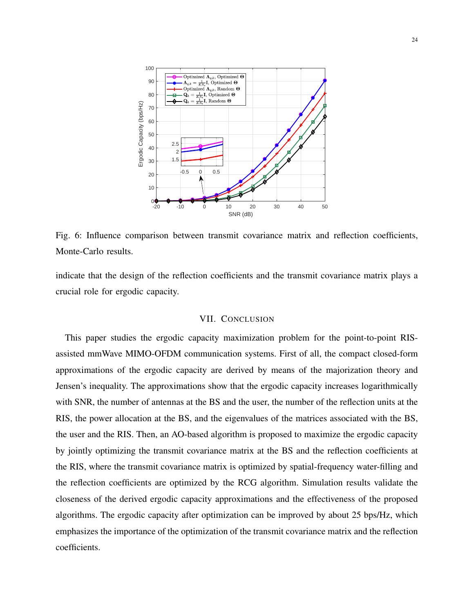<span id="page-23-0"></span>

Fig. 6: Influence comparison between transmit covariance matrix and reflection coefficients, Monte-Carlo results.

indicate that the design of the reflection coefficients and the transmit covariance matrix plays a crucial role for ergodic capacity.

## VII. CONCLUSION

This paper studies the ergodic capacity maximization problem for the point-to-point RISassisted mmWave MIMO-OFDM communication systems. First of all, the compact closed-form approximations of the ergodic capacity are derived by means of the majorization theory and Jensen's inequality. The approximations show that the ergodic capacity increases logarithmically with SNR, the number of antennas at the BS and the user, the number of the reflection units at the RIS, the power allocation at the BS, and the eigenvalues of the matrices associated with the BS, the user and the RIS. Then, an AO-based algorithm is proposed to maximize the ergodic capacity by jointly optimizing the transmit covariance matrix at the BS and the reflection coefficients at the RIS, where the transmit covariance matrix is optimized by spatial-frequency water-filling and the reflection coefficients are optimized by the RCG algorithm. Simulation results validate the closeness of the derived ergodic capacity approximations and the effectiveness of the proposed algorithms. The ergodic capacity after optimization can be improved by about 25 bps/Hz, which emphasizes the importance of the optimization of the transmit covariance matrix and the reflection coefficients.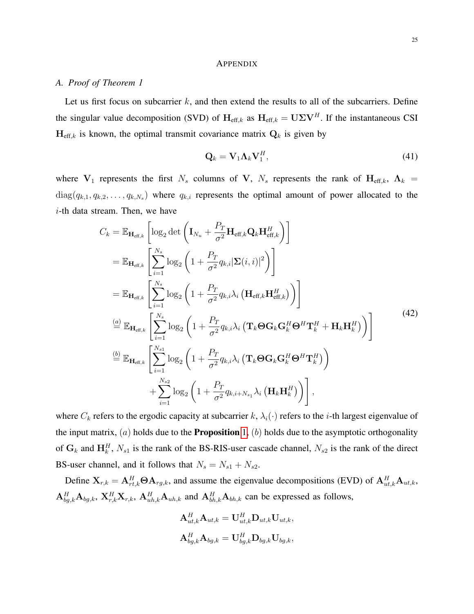#### **APPENDIX**

# <span id="page-24-0"></span>*A. Proof of Theorem 1*

Let us first focus on subcarrier  $k$ , and then extend the results to all of the subcarriers. Define the singular value decomposition (SVD) of  $H_{\text{eff},k}$  as  $H_{\text{eff},k} = U\Sigma V^H$ . If the instantaneous CSI  $\mathbf{H}_{\text{eff},k}$  is known, the optimal transmit covariance matrix  $\mathbf{Q}_k$  is given by

$$
\mathbf{Q}_k = \mathbf{V}_1 \mathbf{\Lambda}_k \mathbf{V}_1^H, \tag{41}
$$

where  $V_1$  represents the first  $N_s$  columns of V,  $N_s$  represents the rank of  $H_{\text{eff},k}$ ,  $\Lambda_k$  =  $diag(q_{k,1}, q_{k,2}, \ldots, q_{k,N_s})$  where  $q_{k,i}$  represents the optimal amount of power allocated to the  $i$ -th data stream. Then, we have

$$
C_{k} = \mathbb{E}_{\mathbf{H}_{\text{eff},k}} \left[ \log_{2} \det \left( \mathbf{I}_{N_{u}} + \frac{P_{T}}{\sigma^{2}} \mathbf{H}_{\text{eff},k} \mathbf{Q}_{k} \mathbf{H}_{\text{eff},k}^{H} \right) \right]
$$
  
\n
$$
= \mathbb{E}_{\mathbf{H}_{\text{eff},k}} \left[ \sum_{i=1}^{N_{s}} \log_{2} \left( 1 + \frac{P_{T}}{\sigma^{2}} q_{k,i} |\mathbf{\Sigma}(i,i)|^{2} \right) \right]
$$
  
\n
$$
= \mathbb{E}_{\mathbf{H}_{\text{eff},k}} \left[ \sum_{i=1}^{N_{s}} \log_{2} \left( 1 + \frac{P_{T}}{\sigma^{2}} q_{k,i} \lambda_{i} \left( \mathbf{H}_{\text{eff},k} \mathbf{H}_{\text{eff},k}^{H} \right) \right) \right]
$$
  
\n
$$
\stackrel{(a)}{=} \mathbb{E}_{\mathbf{H}_{\text{eff},k}} \left[ \sum_{i=1}^{N_{s}} \log_{2} \left( 1 + \frac{P_{T}}{\sigma^{2}} q_{k,i} \lambda_{i} \left( \mathbf{T}_{k} \boldsymbol{\Theta} \mathbf{G}_{k} \mathbf{G}_{k}^{H} \boldsymbol{\Theta}^{H} \mathbf{T}_{k}^{H} + \mathbf{H}_{k} \mathbf{H}_{k}^{H} \right) \right) \right]
$$
  
\n
$$
\stackrel{(b)}{=} \mathbb{E}_{\mathbf{H}_{\text{eff},k}} \left[ \sum_{i=1}^{N_{s1}} \log_{2} \left( 1 + \frac{P_{T}}{\sigma^{2}} q_{k,i} \lambda_{i} \left( \mathbf{T}_{k} \boldsymbol{\Theta} \mathbf{G}_{k} \mathbf{G}_{k}^{H} \boldsymbol{\Theta}^{H} \mathbf{T}_{k}^{H} \right) \right) + \sum_{i=1}^{N_{s2}} \log_{2} \left( 1 + \frac{P_{T}}{\sigma^{2}} q_{k,i+N_{s1}} \lambda_{i} \left( \mathbf{H}_{k} \mathbf{H}_{k}^{H} \right) \right) \right],
$$
  
\n(42)

where  $C_k$  refers to the ergodic capacity at subcarrier k,  $\lambda_i(\cdot)$  refers to the *i*-th largest eigenvalue of the input matrix,  $(a)$  holds due to the **Proposition** [1,](#page-8-0)  $(b)$  holds due to the asymptotic orthogonality of  $G_k$  and  $H_k^H$ ,  $N_{s1}$  is the rank of the BS-RIS-user cascade channel,  $N_{s2}$  is the rank of the direct BS-user channel, and it follows that  $N_s = N_{s1} + N_{s2}$ .

Define  $X_{r,k} = A_{rt,k}^H \Theta A_{rg,k}$ , and assume the eigenvalue decompositions (EVD) of  $A_{ut,k}^H A_{ut,k}$ ,  $A_{bg,k}^H$   $A_{bg,k}$ ,  $X_{r,k}^H$ ,  $X_{r,k}$ ,  $A_{uh,k}^H$   $A_{uh,k}$  and  $A_{bh,k}^H$   $A_{bh,k}$  can be expressed as follows,

$$
\begin{aligned} \mathbf{A}_{ut,k}^{H} \mathbf{A}_{ut,k} &= \mathbf{U}_{ut,k}^{H} \mathbf{D}_{ut,k} \mathbf{U}_{ut,k}, \\ \mathbf{A}_{bg,k}^{H} \mathbf{A}_{bg,k} &= \mathbf{U}_{bg,k}^{H} \mathbf{D}_{bg,k} \mathbf{U}_{bg,k}, \end{aligned}
$$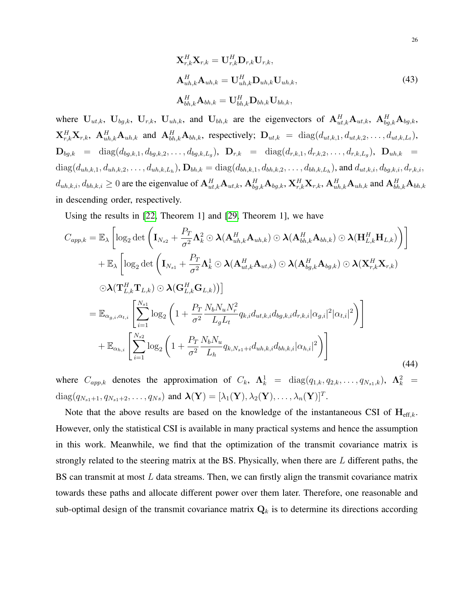$$
\mathbf{X}_{r,k}^{H} \mathbf{X}_{r,k} = \mathbf{U}_{r,k}^{H} \mathbf{D}_{r,k} \mathbf{U}_{r,k},
$$
\n
$$
\mathbf{A}_{uh,k}^{H} \mathbf{A}_{uh,k} = \mathbf{U}_{uh,k}^{H} \mathbf{D}_{uh,k} \mathbf{U}_{uh,k},
$$
\n
$$
\mathbf{A}_{bh,k}^{H} \mathbf{A}_{bh,k} = \mathbf{U}_{bh,k}^{H} \mathbf{D}_{bh,k} \mathbf{U}_{bh,k},
$$
\n(43)

where  $U_{ut,k}$ ,  $U_{bg,k}$ ,  $U_{r,k}$ ,  $U_{uh,k}$ , and  $U_{bh,k}$  are the eigenvectors of  $\mathbf{A}_{ut,k}^H \mathbf{A}_{ut,k}$ ,  $\mathbf{A}_{bg,k}^H \mathbf{A}_{bg,k}$ ,  $\mathbf{X}_{r,k}^H \mathbf{X}_{r,k}$ ,  $\mathbf{A}_{uh,k}^H \mathbf{A}_{uh,k}$  and  $\mathbf{A}_{bh,k}^H \mathbf{A}_{bh,k}$ , respectively;  $\mathbf{D}_{ut,k} = \text{diag}(d_{ut,k,1}, d_{ut,k,2}, \dots, d_{ut,k,L_t}),$  $\mathbf{D}_{bg,k}$  = diag $(d_{bg,k,1}, d_{bg,k,2}, \ldots, d_{bg,k,L_g}),$   $\mathbf{D}_{r,k}$  = diag $(d_{r,k,1}, d_{r,k,2}, \ldots, d_{r,k,L_g}),$   $\mathbf{D}_{uh,k}$  =  $diag(d_{uh,k,1}, d_{uh,k,2}, \ldots, d_{uh,k,L_h}), \mathbf{D}_{bh,k} = diag(d_{bh,k,1}, d_{bh,k,2}, \ldots, d_{bh,k,L_h}),$  and  $d_{ut,k,i}, d_{bg,k,i}, d_{r,k,i}$ ,  $d_{uh,k,i}, d_{bh,k,i} \ge 0$  are the eigenvalue of  $\mathbf{A}^H_{ut,k} \mathbf{A}_{ut,k}, \mathbf{A}^H_{bg,k} \mathbf{A}_{bg,k}, \mathbf{X}^H_{r,k} \mathbf{X}_{r,k}, \mathbf{A}^H_{uh,k} \mathbf{A}_{uh,k}$  and  $\mathbf{A}^H_{bh,k} \mathbf{A}_{bh,k}$ in descending order, respectively.

Using the results in [\[22,](#page-29-3) Theorem 1] and [\[29,](#page-29-9) Theorem 1], we have

<span id="page-25-0"></span>
$$
C_{app,k} = \mathbb{E}_{\lambda} \left[ \log_2 \det \left( \mathbf{I}_{N_{s2}} + \frac{P_T}{\sigma^2} \mathbf{\Lambda}_k^2 \odot \lambda (\mathbf{A}_{uh,k}^H \mathbf{A}_{uh,k}) \odot \lambda (\mathbf{A}_{bh,k}^H \mathbf{A}_{bh,k}) \odot \lambda (\mathbf{H}_{L,k}^H \mathbf{H}_{L,k}) \right) \right]
$$
  
+  $\mathbb{E}_{\lambda} \left[ \log_2 \det \left( \mathbf{I}_{N_{s1}} + \frac{P_T}{\sigma^2} \mathbf{\Lambda}_k^1 \odot \lambda (\mathbf{A}_{ut,k}^H \mathbf{A}_{ut,k}) \odot \lambda (\mathbf{A}_{bg,k}^H \mathbf{A}_{bg,k}) \odot \lambda (\mathbf{X}_{r,k}^H \mathbf{X}_{r,k}) \right] \right]$   
-  $\lambda (\mathbf{T}_{L,k}^H \mathbf{T}_{L,k}) \odot \lambda (\mathbf{G}_{L,k}^H \mathbf{G}_{L,k}) )$   
=  $\mathbb{E}_{\alpha_{g,i},\alpha_{t,i}} \left[ \sum_{i=1}^{N_{s1}} \log_2 \left( 1 + \frac{P_T}{\sigma^2} \frac{N_b N_u N_r^2}{L_g L_t} q_{k,i} d_{ut,k,i} d_{bg,k,i} d_{r,k,i} |\alpha_{g,i}|^2 |\alpha_{t,i}|^2 \right) \right]$   
+  $\mathbb{E}_{\alpha_{h,i}} \left[ \sum_{i=1}^{N_{s2}} \log_2 \left( 1 + \frac{P_T}{\sigma^2} \frac{N_b N_u}{L_h} q_{k,N_{s1}+i} d_{uh,k,i} d_{bh,k,i} |\alpha_{h,i}|^2 \right) \right]$  (44)

where  $C_{app,k}$  denotes the approximation of  $C_k$ ,  $\mathbf{\Lambda}_k^1 = \text{diag}(q_{1,k}, q_{2,k}, \dots, q_{N_{s1},k})$ ,  $\mathbf{\Lambda}_k^2 =$  $diag(q_{N_{s1}+1}, q_{N_{s1}+2}, \ldots, q_{Ns})$  and  $\boldsymbol{\lambda}(\mathbf{Y}) = [\lambda_1(\mathbf{Y}), \lambda_2(\mathbf{Y}), \ldots, \lambda_n(\mathbf{Y})]^T$ .

Note that the above results are based on the knowledge of the instantaneous CSI of  $H_{eff,k}$ . However, only the statistical CSI is available in many practical systems and hence the assumption in this work. Meanwhile, we find that the optimization of the transmit covariance matrix is strongly related to the steering matrix at the BS. Physically, when there are  $L$  different paths, the BS can transmit at most  $L$  data streams. Then, we can firstly align the transmit covariance matrix towards these paths and allocate different power over them later. Therefore, one reasonable and sub-optimal design of the transmit covariance matrix  $Q_k$  is to determine its directions according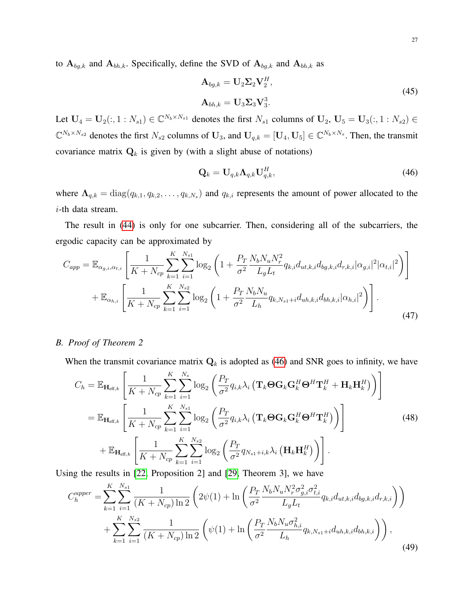to  $A_{bg,k}$  and  $A_{bh,k}$ . Specifically, define the SVD of  $A_{bg,k}$  and  $A_{bh,k}$  as

$$
\mathbf{A}_{bg,k} = \mathbf{U}_2 \mathbf{\Sigma}_2 \mathbf{V}_2^H,
$$
  
\n
$$
\mathbf{A}_{bh,k} = \mathbf{U}_3 \mathbf{\Sigma}_3 \mathbf{V}_3^3.
$$
\n(45)

Let  $U_4 = U_2(:, 1:N_{s1}) \in \mathbb{C}^{N_b \times N_{s1}}$  denotes the first  $N_{s1}$  columns of  $U_2$ ,  $U_5 = U_3(:, 1:N_{s2}) \in$  $\mathbb{C}^{N_b \times N_{s2}}$  denotes the first  $N_{s2}$  columns of  $\mathbf{U}_3$ , and  $\mathbf{U}_{q,k} = [\mathbf{U}_4, \mathbf{U}_5] \in \mathbb{C}^{N_b \times N_s}$ . Then, the transmit covariance matrix  $Q_k$  is given by (with a slight abuse of notations)

<span id="page-26-0"></span>
$$
\mathbf{Q}_k = \mathbf{U}_{q,k} \mathbf{\Lambda}_{q,k} \mathbf{U}_{q,k}^H,\tag{46}
$$

where  $\Lambda_{q,k} = \text{diag}(q_{k,1}, q_{k,2}, \dots, q_{k,N_s})$  and  $q_{k,i}$  represents the amount of power allocated to the i-th data stream.

The result in [\(44\)](#page-25-0) is only for one subcarrier. Then, considering all of the subcarriers, the ergodic capacity can be approximated by

$$
C_{app} = \mathbb{E}_{\alpha_{g,i},\alpha_{t,i}} \left[ \frac{1}{K + N_{cp}} \sum_{k=1}^{K} \sum_{i=1}^{N_{s1}} \log_2 \left( 1 + \frac{P_T}{\sigma^2} \frac{N_b N_u N_r^2}{L_g L_t} q_{k,i} d_{ut,k,i} d_{bg,k,i} d_{r,k,i} |\alpha_{g,i}|^2 |\alpha_{t,i}|^2 \right) \right] + \mathbb{E}_{\alpha_{h,i}} \left[ \frac{1}{K + N_{cp}} \sum_{k=1}^{K} \sum_{i=1}^{N_{s2}} \log_2 \left( 1 + \frac{P_T}{\sigma^2} \frac{N_b N_u}{L_h} q_{k,N_{s1}+i} d_{uh,k,i} d_{bh,k,i} |\alpha_{h,i}|^2 \right) \right].
$$
\n(47)

# <span id="page-26-1"></span>*B. Proof of Theorem 2*

When the transmit covariance matrix  $Q_k$  is adopted as [\(46\)](#page-26-0) and SNR goes to infinity, we have

$$
C_{h} = \mathbb{E}_{\mathbf{H}_{\text{eff},k}} \left[ \frac{1}{K + N_{cp}} \sum_{k=1}^{K} \sum_{i=1}^{N_{s}} \log_{2} \left( \frac{P_{T}}{\sigma^{2}} q_{i,k} \lambda_{i} \left( \mathbf{T}_{k} \boldsymbol{\Theta} \mathbf{G}_{k} \mathbf{G}_{k}^{H} \boldsymbol{\Theta}^{H} \mathbf{T}_{k}^{H} + \mathbf{H}_{k} \mathbf{H}_{k}^{H} \right) \right) \right]
$$
  
\n
$$
= \mathbb{E}_{\mathbf{H}_{\text{eff},k}} \left[ \frac{1}{K + N_{cp}} \sum_{k=1}^{K} \sum_{i=1}^{N_{s1}} \log_{2} \left( \frac{P_{T}}{\sigma^{2}} q_{i,k} \lambda_{i} \left( \mathbf{T}_{k} \boldsymbol{\Theta} \mathbf{G}_{k} \mathbf{G}_{k}^{H} \boldsymbol{\Theta}^{H} \mathbf{T}_{k}^{H} \right) \right) \right]
$$
(48)  
\n
$$
+ \mathbb{E}_{\mathbf{H}_{\text{eff},k}} \left[ \frac{1}{K + N_{cp}} \sum_{k=1}^{K} \sum_{i=1}^{N_{s2}} \log_{2} \left( \frac{P_{T}}{\sigma^{2}} q_{N_{s1}+i,k} \lambda_{i} \left( \mathbf{H}_{k} \mathbf{H}_{k}^{H} \right) \right) \right].
$$

Using the results in [\[22,](#page-29-3) Proposition 2] and [\[29,](#page-29-9) Theorem 3], we have

$$
C_{h}^{upper} = \sum_{k=1}^{K} \sum_{i=1}^{N_{s1}} \frac{1}{(K + N_{cp}) \ln 2} \left( 2\psi(1) + \ln \left( \frac{P_{T}}{\sigma^{2}} \frac{N_{b} N_{u} N_{r}^{2} \sigma_{g,i}^{2} \sigma_{t,i}^{2}}{L_{g} L_{t}} q_{k,i} d_{ut,k,i} d_{bg,k,i} d_{r,k,i} \right) \right) + \sum_{k=1}^{K} \sum_{i=1}^{N_{s2}} \frac{1}{(K + N_{cp}) \ln 2} \left( \psi(1) + \ln \left( \frac{P_{T}}{\sigma^{2}} \frac{N_{b} N_{u} \sigma_{h,i}^{2}}{L_{h}} q_{k,N_{s1} + i} d_{uh,k,i} d_{bh,k,i} \right) \right), \tag{49}
$$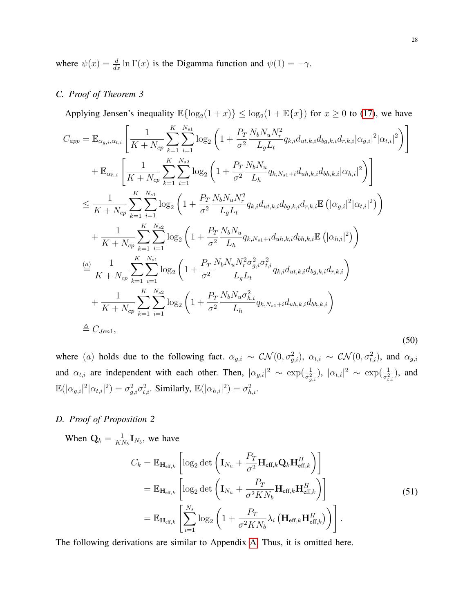where  $\psi(x) = \frac{d}{dx} \ln \Gamma(x)$  is the Digamma function and  $\psi(1) = -\gamma$ .

# <span id="page-27-0"></span>*C. Proof of Theorem 3*

Applying Jensen's inequality  $\mathbb{E}\{\log_2(1+x)\} \leq \log_2(1+\mathbb{E}\{x\})$  for  $x \geq 0$  to [\(17\)](#page-9-1), we have

$$
C_{app} = \mathbb{E}_{\alpha_{g,i},\alpha_{t,i}} \left[ \frac{1}{K + N_{cp}} \sum_{k=1}^{K} \sum_{i=1}^{N_{s1}} \log_2 \left( 1 + \frac{P_T}{\sigma^2} \frac{N_b N_u N_r^2}{L_g L_t} q_{k,i} d_{ut,k,i} d_{bg,k,i} d_{r,k,i} |\alpha_{g,i}|^2 |\alpha_{t,i}|^2 \right) \right]
$$
  
+  $\mathbb{E}_{\alpha_{h,i}} \left[ \frac{1}{K + N_{cp}} \sum_{k=1}^{K} \sum_{i=1}^{N_{s2}} \log_2 \left( 1 + \frac{P_T}{\sigma^2} \frac{N_b N_u}{L_h} q_{k,N_{s1}+i} d_{uh,k,i} d_{bh,k,i} |\alpha_{h,i}|^2 \right) \right]$   
 $\leq \frac{1}{K + N_{cp}} \sum_{k=1}^{K} \sum_{i=1}^{N_{s1}} \log_2 \left( 1 + \frac{P_T}{\sigma^2} \frac{N_b N_u N_r^2}{L_g L_t} q_{k,i} d_{ut,k,i} d_{bg,k,i} d_{r,k,i} \mathbb{E} \left( |\alpha_{g,i}|^2 |\alpha_{t,i}|^2 \right) \right)$   
+  $\frac{1}{K + N_{cp}} \sum_{k=1}^{K} \sum_{i=1}^{N_{s2}} \log_2 \left( 1 + \frac{P_T}{\sigma^2} \frac{N_b N_u}{L_h} q_{k,N_{s1}+i} d_{uh,k,i} d_{bh,k,i} \mathbb{E} \left( |\alpha_{h,i}|^2 \right) \right)$   
 $\stackrel{(a)}{=} \frac{1}{K + N_{cp}} \sum_{k=1}^{K} \sum_{i=1}^{N_{s1}} \log_2 \left( 1 + \frac{P_T}{\sigma^2} \frac{N_b N_u N_r^2 \sigma_{g,i}^2 \sigma_{t,i}^2}{L_g L_t} q_{k,i} d_{ut,k,i} d_{bg,k,i} d_{r,k,i} \right)$   
+  $\frac{1}{K + N_{cp}} \sum_{k=1}^{K} \sum_{i=1}^{N_{s2}} \log_2 \left( 1 + \frac{P_T}{\sigma^2} \frac{N_b N_u \sigma_{h,i}^2}{L_h} q_{k,N_{s1}+i} d_{uh,k,i} d_{bh,k,i} \right)$   
 $\triangle$ 

where (a) holds due to the following fact.  $\alpha_{g,i} \sim \mathcal{CN}(0, \sigma_{g,i}^2)$ ,  $\alpha_{t,i} \sim \mathcal{CN}(0, \sigma_{t,i}^2)$ , and  $\alpha_{g,i}$ and  $\alpha_{t,i}$  are independent with each other. Then,  $|\alpha_{g,i}|^2 \sim \exp(\frac{1}{\sigma_{g,i}^2})$ ,  $|\alpha_{t,i}|^2 \sim \exp(\frac{1}{\sigma_{t,i}^2})$ , and  $\mathbb{E}(|\alpha_{g,i}|^2|\alpha_{t,i}|^2) = \sigma_{g,i}^2 \sigma_{t,i}^2$ . Similarly,  $\mathbb{E}(|\alpha_{h,i}|^2) = \sigma_{h,i}^2$ .

# <span id="page-27-1"></span>*D. Proof of Proposition 2*

When  $\mathbf{Q}_k = \frac{1}{K}$  $\frac{1}{KN_b}\mathbf{I}_{N_b}$ , we have

$$
C_{k} = \mathbb{E}_{\mathbf{H}_{\text{eff},k}} \left[ \log_{2} \det \left( \mathbf{I}_{N_{u}} + \frac{P_{T}}{\sigma^{2}} \mathbf{H}_{\text{eff},k} \mathbf{Q}_{k} \mathbf{H}_{\text{eff},k}^{H} \right) \right]
$$
  
\n
$$
= \mathbb{E}_{\mathbf{H}_{\text{eff},k}} \left[ \log_{2} \det \left( \mathbf{I}_{N_{u}} + \frac{P_{T}}{\sigma^{2} KN_{b}} \mathbf{H}_{\text{eff},k} \mathbf{H}_{\text{eff},k}^{H} \right) \right]
$$
  
\n
$$
= \mathbb{E}_{\mathbf{H}_{\text{eff},k}} \left[ \sum_{i=1}^{N_{s}} \log_{2} \left( 1 + \frac{P_{T}}{\sigma^{2} KN_{b}} \lambda_{i} \left( \mathbf{H}_{\text{eff},k} \mathbf{H}_{\text{eff},k}^{H} \right) \right) \right].
$$
\n(51)

The following derivations are similar to Appendix [A.](#page-24-0) Thus, it is omitted here.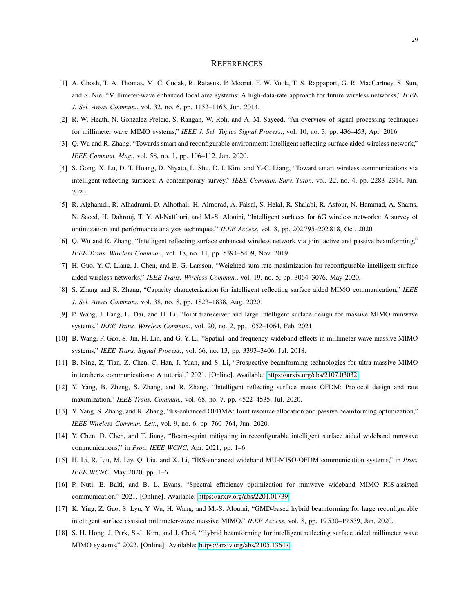#### **REFERENCES**

- <span id="page-28-0"></span>[1] A. Ghosh, T. A. Thomas, M. C. Cudak, R. Ratasuk, P. Moorut, F. W. Vook, T. S. Rappaport, G. R. MacCartney, S. Sun, and S. Nie, "Millimeter-wave enhanced local area systems: A high-data-rate approach for future wireless networks," *IEEE J. Sel. Areas Commun.*, vol. 32, no. 6, pp. 1152–1163, Jun. 2014.
- <span id="page-28-1"></span>[2] R. W. Heath, N. Gonzalez-Prelcic, S. Rangan, W. Roh, and A. M. Sayeed, "An overview of signal processing techniques for millimeter wave MIMO systems," *IEEE J. Sel. Topics Signal Process.*, vol. 10, no. 3, pp. 436–453, Apr. 2016.
- <span id="page-28-2"></span>[3] Q. Wu and R. Zhang, "Towards smart and reconfigurable environment: Intelligent reflecting surface aided wireless network," *IEEE Commun. Mag.*, vol. 58, no. 1, pp. 106–112, Jan. 2020.
- [4] S. Gong, X. Lu, D. T. Hoang, D. Niyato, L. Shu, D. I. Kim, and Y.-C. Liang, "Toward smart wireless communications via intelligent reflecting surfaces: A contemporary survey," *IEEE Commun. Surv. Tutor.*, vol. 22, no. 4, pp. 2283–2314, Jun. 2020.
- <span id="page-28-3"></span>[5] R. Alghamdi, R. Alhadrami, D. Alhothali, H. Almorad, A. Faisal, S. Helal, R. Shalabi, R. Asfour, N. Hammad, A. Shams, N. Saeed, H. Dahrouj, T. Y. Al-Naffouri, and M.-S. Alouini, "Intelligent surfaces for 6G wireless networks: A survey of optimization and performance analysis techniques," *IEEE Access*, vol. 8, pp. 202 795–202 818, Oct. 2020.
- <span id="page-28-4"></span>[6] Q. Wu and R. Zhang, "Intelligent reflecting surface enhanced wireless network via joint active and passive beamforming," *IEEE Trans. Wireless Commun.*, vol. 18, no. 11, pp. 5394–5409, Nov. 2019.
- <span id="page-28-6"></span>[7] H. Guo, Y.-C. Liang, J. Chen, and E. G. Larsson, "Weighted sum-rate maximization for reconfigurable intelligent surface aided wireless networks," *IEEE Trans. Wireless Commun.*, vol. 19, no. 5, pp. 3064–3076, May 2020.
- <span id="page-28-7"></span>[8] S. Zhang and R. Zhang, "Capacity characterization for intelligent reflecting surface aided MIMO communication," *IEEE J. Sel. Areas Commun.*, vol. 38, no. 8, pp. 1823–1838, Aug. 2020.
- <span id="page-28-5"></span>[9] P. Wang, J. Fang, L. Dai, and H. Li, "Joint transceiver and large intelligent surface design for massive MIMO mmwave systems," *IEEE Trans. Wireless Commun.*, vol. 20, no. 2, pp. 1052–1064, Feb. 2021.
- <span id="page-28-8"></span>[10] B. Wang, F. Gao, S. Jin, H. Lin, and G. Y. Li, "Spatial- and frequency-wideband effects in millimeter-wave massive MIMO systems," *IEEE Trans. Signal Process.*, vol. 66, no. 13, pp. 3393–3406, Jul. 2018.
- <span id="page-28-9"></span>[11] B. Ning, Z. Tian, Z. Chen, C. Han, J. Yuan, and S. Li, "Prospective beamforming technologies for ultra-massive MIMO in terahertz communications: A tutorial," 2021. [Online]. Available:<https://arxiv.org/abs/2107.03032>
- <span id="page-28-10"></span>[12] Y. Yang, B. Zheng, S. Zhang, and R. Zhang, "Intelligent reflecting surface meets OFDM: Protocol design and rate maximization," *IEEE Trans. Commun.*, vol. 68, no. 7, pp. 4522–4535, Jul. 2020.
- <span id="page-28-11"></span>[13] Y. Yang, S. Zhang, and R. Zhang, "Irs-enhanced OFDMA: Joint resource allocation and passive beamforming optimization," *IEEE Wireless Commun. Lett.*, vol. 9, no. 6, pp. 760–764, Jun. 2020.
- <span id="page-28-12"></span>[14] Y. Chen, D. Chen, and T. Jiang, "Beam-squint mitigating in reconfigurable intelligent surface aided wideband mmwave communications," in *Proc. IEEE WCNC*, Apr. 2021, pp. 1–6.
- <span id="page-28-13"></span>[15] H. Li, R. Liu, M. Liy, Q. Liu, and X. Li, "IRS-enhanced wideband MU-MISO-OFDM communication systems," in *Proc. IEEE WCNC*, May 2020, pp. 1–6.
- <span id="page-28-14"></span>[16] P. Nuti, E. Balti, and B. L. Evans, "Spectral efficiency optimization for mmwave wideband MIMO RIS-assisted communication," 2021. [Online]. Available:<https://arxiv.org/abs/2201.01739>
- <span id="page-28-15"></span>[17] K. Ying, Z. Gao, S. Lyu, Y. Wu, H. Wang, and M.-S. Alouini, "GMD-based hybrid beamforming for large reconfigurable intelligent surface assisted millimeter-wave massive MIMO," *IEEE Access*, vol. 8, pp. 19 530–19 539, Jan. 2020.
- <span id="page-28-16"></span>[18] S. H. Hong, J. Park, S.-J. Kim, and J. Choi, "Hybrid beamforming for intelligent reflecting surface aided millimeter wave MIMO systems," 2022. [Online]. Available:<https://arxiv.org/abs/2105.13647>